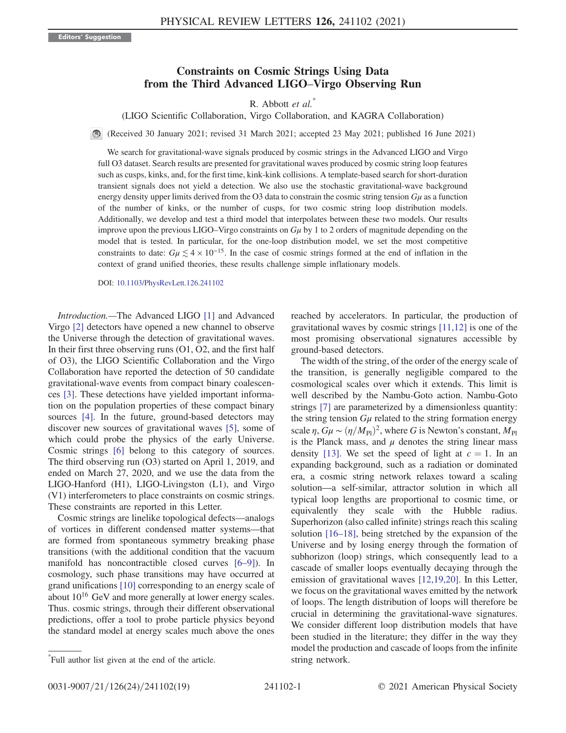## Constraints on Cosmic Strings Using Data from the Third Advanced LIGO–Virgo Observing Run

## R. Abbott  $et \ al.^*$

(LIGO Scientific Collaboration, Virgo Collaboration, and KAGRA Collaboration)

(Received 30 January 2021; revised 31 March 2021; accepted 23 May 2021; published 16 June 2021)

We search for gravitational-wave signals produced by cosmic strings in the Advanced LIGO and Virgo full O3 dataset. Search results are presented for gravitational waves produced by cosmic string loop features such as cusps, kinks, and, for the first time, kink-kink collisions. A template-based search for short-duration transient signals does not yield a detection. We also use the stochastic gravitational-wave background energy density upper limits derived from the O3 data to constrain the cosmic string tension  $G\mu$  as a function of the number of kinks, or the number of cusps, for two cosmic string loop distribution models. Additionally, we develop and test a third model that interpolates between these two models. Our results improve upon the previous LIGO–Virgo constraints on  $G\mu$  by 1 to 2 orders of magnitude depending on the model that is tested. In particular, for the one-loop distribution model, we set the most competitive constraints to date:  $G\mu \lesssim 4 \times 10^{-15}$ . In the case of cosmic strings formed at the end of inflation in the context of grand unified theories, these results challenge simple inflationary models.

DOI: [10.1103/PhysRevLett.126.241102](https://doi.org/10.1103/PhysRevLett.126.241102)

Introduction.—The Advanced LIGO [\[1\]](#page-7-0) and Advanced Virgo [\[2\]](#page-7-1) detectors have opened a new channel to observe the Universe through the detection of gravitational waves. In their first three observing runs (O1, O2, and the first half of O3), the LIGO Scientific Collaboration and the Virgo Collaboration have reported the detection of 50 candidate gravitational-wave events from compact binary coalescences [\[3\].](#page-7-2) These detections have yielded important information on the population properties of these compact binary sources [\[4\].](#page-7-3) In the future, ground-based detectors may discover new sources of gravitational waves [\[5\]](#page-7-4), some of which could probe the physics of the early Universe. Cosmic strings [\[6\]](#page-7-5) belong to this category of sources. The third observing run (O3) started on April 1, 2019, and ended on March 27, 2020, and we use the data from the LIGO-Hanford (H1), LIGO-Livingston (L1), and Virgo (V1) interferometers to place constraints on cosmic strings. These constraints are reported in this Letter.

Cosmic strings are linelike topological defects—analogs of vortices in different condensed matter systems—that are formed from spontaneous symmetry breaking phase transitions (with the additional condition that the vacuum manifold has noncontractible closed curves [6–[9\]\)](#page-7-5). In cosmology, such phase transitions may have occurred at grand unifications [\[10\]](#page-7-6) corresponding to an energy scale of about  $10^{16}$  GeV and more generally at lower energy scales. Thus. cosmic strings, through their different observational predictions, offer a tool to probe particle physics beyond the standard model at energy scales much above the ones reached by accelerators. In particular, the production of gravitational waves by cosmic strings [\[11,12\]](#page-7-7) is one of the most promising observational signatures accessible by ground-based detectors.

The width of the string, of the order of the energy scale of the transition, is generally negligible compared to the cosmological scales over which it extends. This limit is well described by the Nambu-Goto action. Nambu-Goto strings [\[7\]](#page-7-8) are parameterized by a dimensionless quantity: the string tension  $G\mu$  related to the string formation energy scale  $\eta$ ,  $G\mu \sim (\eta/M_{\rm Pl})^2$ , where G is Newton's constant,  $M_{\rm Pl}$ is the Planck mass, and  $\mu$  denotes the string linear mass density [\[13\]](#page-7-9). We set the speed of light at  $c = 1$ . In an expanding background, such as a radiation or dominated era, a cosmic string network relaxes toward a scaling solution—a self-similar, attractor solution in which all typical loop lengths are proportional to cosmic time, or equivalently they scale with the Hubble radius. Superhorizon (also called infinite) strings reach this scaling solution [\[16](#page-7-10)–18], being stretched by the expansion of the Universe and by losing energy through the formation of subhorizon (loop) strings, which consequently lead to a cascade of smaller loops eventually decaying through the emission of gravitational waves [\[12,19,20\]](#page-7-11). In this Letter, we focus on the gravitational waves emitted by the network of loops. The length distribution of loops will therefore be crucial in determining the gravitational-wave signatures. We consider different loop distribution models that have been studied in the literature; they differ in the way they model the production and cascade of loops from the infinite \*Full author list given at the end of the article. string network.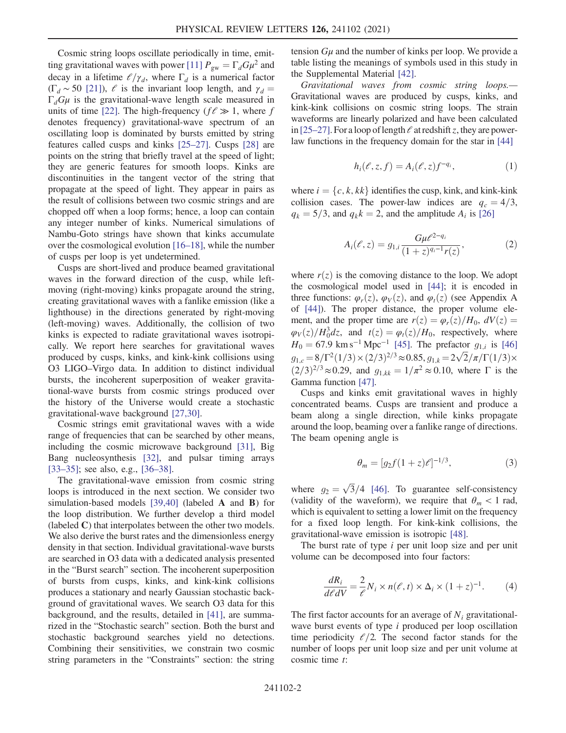Cosmic string loops oscillate periodically in time, emit-ting gravitational waves with power [\[11\]](#page-7-7)  $P_{\text{gw}} = \Gamma_d G \mu^2$  and decay in a lifetime  $\ell/\gamma_d$ , where  $\Gamma_d$  is a numerical factor  $(\Gamma_d \sim 50$  [\[21\]](#page-7-12)),  $\ell$  is the invariant loop length, and  $\gamma_d =$  $\Gamma_d G\mu$  is the gravitational-wave length scale measured in units of time [\[22\]](#page-8-0). The high-frequency ( $f \ell \gg 1$ , where f denotes frequency) gravitational-wave spectrum of an oscillating loop is dominated by bursts emitted by string features called cusps and kinks [25–[27\].](#page-8-1) Cusps [\[28\]](#page-8-2) are points on the string that briefly travel at the speed of light; they are generic features for smooth loops. Kinks are discontinuities in the tangent vector of the string that propagate at the speed of light. They appear in pairs as the result of collisions between two cosmic strings and are chopped off when a loop forms; hence, a loop can contain any integer number of kinks. Numerical simulations of Nambu-Goto strings have shown that kinks accumulate over the cosmological evolution [16–[18\],](#page-7-10) while the number of cusps per loop is yet undetermined.

Cusps are short-lived and produce beamed gravitational waves in the forward direction of the cusp, while leftmoving (right-moving) kinks propagate around the string, creating gravitational waves with a fanlike emission (like a lighthouse) in the directions generated by right-moving (left-moving) waves. Additionally, the collision of two kinks is expected to radiate gravitational waves isotropically. We report here searches for gravitational waves produced by cusps, kinks, and kink-kink collisions using O3 LIGO–Virgo data. In addition to distinct individual bursts, the incoherent superposition of weaker gravitational-wave bursts from cosmic strings produced over the history of the Universe would create a stochastic gravitational-wave background [\[27,30\]](#page-8-3).

Cosmic strings emit gravitational waves with a wide range of frequencies that can be searched by other means, including the cosmic microwave background [\[31\],](#page-8-4) Big Bang nucleosynthesis [\[32\]](#page-8-5), and pulsar timing arrays [\[33](#page-8-6)–35]; see also, e.g., [36–[38\].](#page-8-7)

The gravitational-wave emission from cosmic string loops is introduced in the next section. We consider two simulation-based models [\[39,40\]](#page-8-8) (labeled A and B) for the loop distribution. We further develop a third model (labeled C) that interpolates between the other two models. We also derive the burst rates and the dimensionless energy density in that section. Individual gravitational-wave bursts are searched in O3 data with a dedicated analysis presented in the "Burst search" section. The incoherent superposition of bursts from cusps, kinks, and kink-kink collisions produces a stationary and nearly Gaussian stochastic background of gravitational waves. We search O3 data for this background, and the results, detailed in [\[41\]](#page-8-9), are summarized in the "Stochastic search" section. Both the burst and stochastic background searches yield no detections. Combining their sensitivities, we constrain two cosmic string parameters in the "Constraints" section: the string tension  $G\mu$  and the number of kinks per loop. We provide a table listing the meanings of symbols used in this study in the Supplemental Material [\[42\].](#page-8-10)

<span id="page-1-0"></span>Gravitational waves from cosmic string loops.— Gravitational waves are produced by cusps, kinks, and kink-kink collisions on cosmic string loops. The strain waveforms are linearly polarized and have been calculated in [25–[27\]](#page-8-1). For a loop of length  $\ell$  at redshift z, they are powerlaw functions in the frequency domain for the star in [\[44\]](#page-8-11)

$$
h_i(\ell, z, f) = A_i(\ell, z) f^{-q_i}, \qquad (1)
$$

<span id="page-1-1"></span>where  $i = \{c, k, kk\}$  identifies the cusp, kink, and kink-kink collision cases. The power-law indices are  $q_c = 4/3$ ,  $q_k = 5/3$ , and  $q_k k = 2$ , and the amplitude  $A_i$  is [\[26\]](#page-8-12)

$$
A_i(\ell, z) = g_{1,i} \frac{G\mu \ell^{2-q_i}}{(1+z)^{q_i-1} r(z)},
$$
 (2)

where  $r(z)$  is the comoving distance to the loop. We adopt the cosmological model used in [\[44\];](#page-8-11) it is encoded in three functions:  $\varphi_r(z)$ ,  $\varphi_V(z)$ , and  $\varphi_t(z)$  (see Appendix A of [\[44\]\)](#page-8-11). The proper distance, the proper volume element, and the proper time are  $r(z) = \varphi_r(z)/H_0$ ,  $dV(z) =$  $\varphi_V(z)/H_0^3 dz$ , and  $t(z) = \varphi_t(z)/H_0$ , respectively, where  $H_0 = 67.9$  km s<sup>-1</sup> Mpc<sup>-1</sup> L451. The prefector  $g_0$  is L461  $H_0 = 67.9 \text{ km s}^{-1} \text{ Mpc}^{-1}$  [\[45\].](#page-8-13) The prefactor  $g_{1,i}$  is [\[46\]](#page-8-14)  $g_{1,c} = 8/\Gamma^2(1/3) \times (2/3)^{2/3} \approx 0.85, g_{1,k} = 2\sqrt{2}/\pi/\Gamma(1/3) \times$ <br>(2/3)<sup>2/3</sup>×0.29, and  $s = 1/\pi^2 \approx 0.10$ , where  $\Gamma$  is the  $(2/3)^{2/3} \approx 0.29$ , and  $g_{1,kk} = 1/\pi^2 \approx 0.10$ , where  $\Gamma$  is the Gamma function [\[47\].](#page-8-15)

Cusps and kinks emit gravitational waves in highly concentrated beams. Cusps are transient and produce a beam along a single direction, while kinks propagate around the loop, beaming over a fanlike range of directions. The beam opening angle is

$$
\theta_m = [g_2 f (1+z) \ell]^{-1/3},\tag{3}
$$

where  $g_2 = \sqrt{3}/4$  [\[46\].](#page-8-14) To guarantee self-consistency<br>(validity of the waveform) we require that  $\theta \le 1$  rad (validity of the waveform), we require that  $\theta_m < 1$  rad, which is equivalent to setting a lower limit on the frequency for a fixed loop length. For kink-kink collisions, the gravitational-wave emission is isotropic [\[48\]](#page-8-16).

The burst rate of type  $i$  per unit loop size and per unit volume can be decomposed into four factors:

$$
\frac{dR_i}{d\ell dV} = \frac{2}{\ell} N_i \times n(\ell, t) \times \Delta_i \times (1+z)^{-1}.
$$
 (4)

The first factor accounts for an average of  $N_i$  gravitationalwave burst events of type *i* produced per loop oscillation time periodicity  $\ell/2$ . The second factor stands for the number of loops per unit loop size and per unit volume at cosmic time t: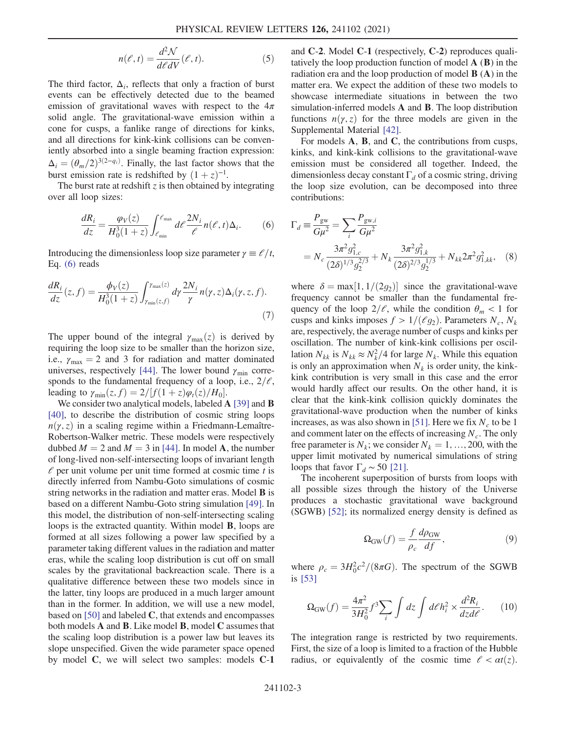$$
n(\ell, t) = \frac{d^2 \mathcal{N}}{d\ell dV}(\ell, t).
$$
 (5)

The third factor,  $\Delta_i$ , reflects that only a fraction of burst events can be effectively detected due to the beamed emission of gravitational waves with respect to the  $4\pi$ solid angle. The gravitational-wave emission within a cone for cusps, a fanlike range of directions for kinks, and all directions for kink-kink collisions can be conveniently absorbed into a single beaming fraction expression:  $\Delta_i = (\theta_m/2)^{3(2-q_i)}$ . Finally, the last factor shows that the burst emission rate is redshifted by  $(1 + \tau)^{-1}$ burst emission rate is redshifted by  $(1 + z)^{-1}$ .<br>The burst rate at redshift z is then obtained by

<span id="page-2-0"></span>The burst rate at redshift z is then obtained by integrating over all loop sizes:

$$
\frac{dR_i}{dz} = \frac{\varphi_V(z)}{H_0^3(1+z)} \int_{\ell_{\min}}^{\ell_{\max}} d\ell \frac{2N_i}{\ell} n(\ell, t) \Delta_i.
$$
 (6)

<span id="page-2-2"></span>Introducing the dimensionless loop size parameter  $\gamma \equiv \ell/t$ , Eq. [\(6\)](#page-2-0) reads

$$
\frac{dR_i}{dz}(z,f) = \frac{\phi_V(z)}{H_0^3(1+z)} \int_{\gamma_{\min}(z,f)}^{\gamma_{\max}(z)} d\gamma \frac{2N_i}{\gamma} n(\gamma,z) \Delta_i(\gamma,z,f). \tag{7}
$$

The upper bound of the integral  $\gamma_{\text{max}}(z)$  is derived by requiring the loop size to be smaller than the horizon size, i.e.,  $\gamma_{\text{max}} = 2$  and 3 for radiation and matter dominated universes, respectively [\[44\]](#page-8-11). The lower bound  $\gamma_{\text{min}}$  corresponds to the fundamental frequency of a loop, i.e.,  $2/\ell$ , leading to  $\gamma_{\text{min}}(z, f) = 2/[f(1+z)\varphi_t(z)/H_0].$ <br>We consider two analytical models, labeled A

We consider two analytical models, labeled **A** [\[39\]](#page-8-8) and **B** [\[40\]](#page-8-17), to describe the distribution of cosmic string loops  $n(\gamma, z)$  in a scaling regime within a Friedmann-Lemaître-Robertson-Walker metric. These models were respectively dubbed  $M = 2$  and  $M = 3$  in [\[44\].](#page-8-11) In model **A**, the number of long-lived non-self-intersecting loops of invariant length  $\ell$  per unit volume per unit time formed at cosmic time t is directly inferred from Nambu-Goto simulations of cosmic string networks in the radiation and matter eras. Model B is based on a different Nambu-Goto string simulation [\[49\]](#page-8-18). In this model, the distribution of non-self-intersecting scaling loops is the extracted quantity. Within model B, loops are formed at all sizes following a power law specified by a parameter taking different values in the radiation and matter eras, while the scaling loop distribution is cut off on small scales by the gravitational backreaction scale. There is a qualitative difference between these two models since in the latter, tiny loops are produced in a much larger amount than in the former. In addition, we will use a new model, based on  $[50]$  and labeled C, that extends and encompasses both models A and B. Like model B, model C assumes that the scaling loop distribution is a power law but leaves its slope unspecified. Given the wide parameter space opened by model C, we will select two samples: models C-1 and C-2. Model C-1 (respectively, C-2) reproduces qualitatively the loop production function of model  $A(B)$  in the radiation era and the loop production of model  $B(A)$  in the matter era. We expect the addition of these two models to showcase intermediate situations in between the two simulation-inferred models A and B. The loop distribution functions  $n(\gamma, z)$  for the three models are given in the Supplemental Material [\[42\].](#page-8-10)

For models A, B, and C, the contributions from cusps, kinks, and kink-kink collisions to the gravitational-wave emission must be considered all together. Indeed, the dimensionless decay constant  $\Gamma_d$  of a cosmic string, driving the loop size evolution, can be decomposed into three contributions:

$$
\Gamma_d \equiv \frac{P_{\rm gw}}{G\mu^2} = \sum_i \frac{P_{\rm gw,i}}{G\mu^2}
$$
  
=  $N_c \frac{3\pi^2 g_{1,c}^2}{(2\delta)^{1/3} g_2^{2/3}} + N_k \frac{3\pi^2 g_{1,k}^2}{(2\delta)^{2/3} g_2^{1/3}} + N_{kk} 2\pi^2 g_{1,kk}^2$ , (8)

where  $\delta = \max[1, 1/(2g_2)]$  since the gravitational-wave<br>frequency cannot be smaller than the fundamental frefrequency cannot be smaller than the fundamental frequency of the loop  $2/\ell$ , while the condition  $\theta_m < 1$  for cusps and kinks imposes  $f > 1/(\mathcal{C}g_2)$ . Parameters  $N_c, N_k$ are, respectively, the average number of cusps and kinks per oscillation. The number of kink-kink collisions per oscillation  $N_{kk}$  is  $N_{kk} \approx N_k^2/4$  for large  $N_k$ . While this equation is only an approximation when  $N_k$  is order unity, the kinkkink contribution is very small in this case and the error would hardly affect our results. On the other hand, it is clear that the kink-kink collision quickly dominates the gravitational-wave production when the number of kinks increases, as was also shown in [\[51\]](#page-8-20). Here we fix  $N_c$  to be 1 and comment later on the effects of increasing  $N_c$ . The only free parameter is  $N_k$ ; we consider  $N_k = 1, ..., 200$ , with the upper limit motivated by numerical simulations of string loops that favor  $\Gamma_d \sim 50$  [\[21\]](#page-7-12).

<span id="page-2-3"></span>The incoherent superposition of bursts from loops with all possible sizes through the history of the Universe produces a stochastic gravitational wave background (SGWB) [\[52\];](#page-8-21) its normalized energy density is defined as

$$
\Omega_{\rm GW}(f) = \frac{f}{\rho_c} \frac{d\rho_{\rm GW}}{df},\tag{9}
$$

<span id="page-2-1"></span>where  $\rho_c = 3H_0^2c^2/(8\pi G)$ . The spectrum of the SGWB is [53] is [\[53\]](#page-8-22)

$$
\Omega_{\rm GW}(f) = \frac{4\pi^2}{3H_0^2} f^3 \sum_i \int dz \int d\ell h_i^2 \times \frac{d^2 R_i}{dz d\ell}. \tag{10}
$$

The integration range is restricted by two requirements. First, the size of a loop is limited to a fraction of the Hubble radius, or equivalently of the cosmic time  $\ell < \alpha t(z)$ .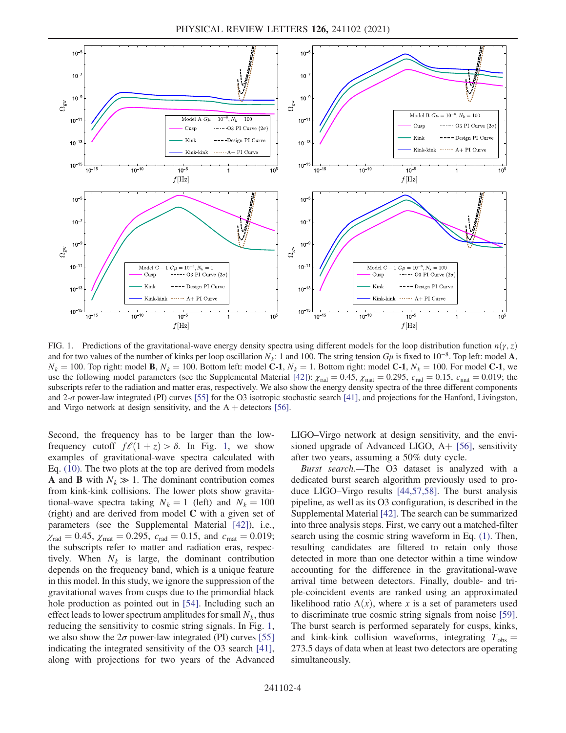<span id="page-3-0"></span>

FIG. 1. Predictions of the gravitational-wave energy density spectra using different models for the loop distribution function  $n(\gamma, z)$ and for two values of the number of kinks per loop oscillation  $N_k$ : 1 and 100. The string tension  $G\mu$  is fixed to 10<sup>-8</sup>. Top left: model A,  $N_k = 100$ . Top right: model **B**,  $N_k = 100$ . Bottom left: model **C-1**,  $N_k = 1$ . Bottom right: model **C-1**,  $N_k = 100$ . For model **C-1**, we use the following model parameters (see the Supplemental Material [\[42\]\)](#page-8-10):  $\chi_{\text{rad}} = 0.45$ ,  $\chi_{\text{mat}} = 0.295$ ,  $c_{\text{rad}} = 0.15$ ,  $c_{\text{mat}} = 0.019$ ; the subscripts refer to the radiation and matter eras, respectively. We also show the energy density spectra of the three different components and 2-σ power-law integrated (PI) curves [\[55\]](#page-8-24) for the O3 isotropic stochastic search [\[41\]](#page-8-9), and projections for the Hanford, Livingston, and Virgo network at design sensitivity, and the  $A +$  detectors [\[56\].](#page-8-25)

Second, the frequency has to be larger than the lowfrequency cutoff  $f\ell(1+z) > \delta$ . In Fig. [1,](#page-3-0) we show examples of gravitational-wave spectra calculated with Eq. [\(10\)](#page-2-1). The two plots at the top are derived from models A and B with  $N_k \gg 1$ . The dominant contribution comes from kink-kink collisions. The lower plots show gravitational-wave spectra taking  $N_k = 1$  (left) and  $N_k = 100$ (right) and are derived from model C with a given set of parameters (see the Supplemental Material [\[42\]](#page-8-10)), i.e.,  $\chi_{\text{rad}} = 0.45$ ,  $\chi_{\text{mat}} = 0.295$ ,  $c_{\text{rad}} = 0.15$ , and  $c_{\text{mat}} = 0.019$ ; the subscripts refer to matter and radiation eras, respectively. When  $N_k$  is large, the dominant contribution depends on the frequency band, which is a unique feature in this model. In this study, we ignore the suppression of the gravitational waves from cusps due to the primordial black hole production as pointed out in [\[54\].](#page-8-23) Including such an effect leads to lower spectrum amplitudes for small  $N_k$ , thus reducing the sensitivity to cosmic string signals. In Fig. [1](#page-3-0), we also show the  $2\sigma$  power-law integrated (PI) curves [\[55\]](#page-8-24) indicating the integrated sensitivity of the O3 search [\[41\]](#page-8-9), along with projections for two years of the Advanced LIGO–Virgo network at design sensitivity, and the envisioned upgrade of Advanced LIGO,  $A + [56]$ , sensitivity after two years, assuming a 50% duty cycle.

Burst search.—The O3 dataset is analyzed with a dedicated burst search algorithm previously used to produce LIGO–Virgo results [\[44,57,58\].](#page-8-11) The burst analysis pipeline, as well as its O3 configuration, is described in the Supplemental Material [\[42\].](#page-8-10) The search can be summarized into three analysis steps. First, we carry out a matched-filter search using the cosmic string waveform in Eq. [\(1\)](#page-1-0). Then, resulting candidates are filtered to retain only those detected in more than one detector within a time window accounting for the difference in the gravitational-wave arrival time between detectors. Finally, double- and triple-coincident events are ranked using an approximated likelihood ratio  $\Lambda(x)$ , where x is a set of parameters used to discriminate true cosmic string signals from noise [\[59\]](#page-8-26). The burst search is performed separately for cusps, kinks, and kink-kink collision waveforms, integrating  $T_{obs} =$ 273.5 days of data when at least two detectors are operating simultaneously.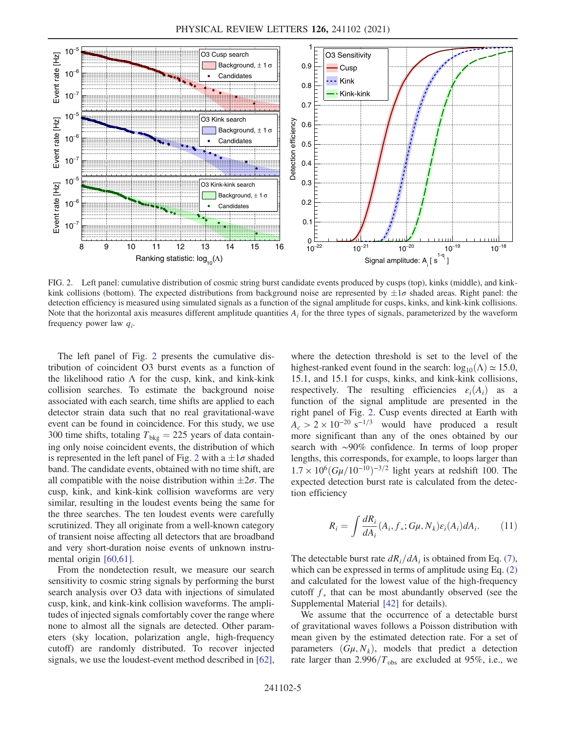<span id="page-4-0"></span>

FIG. 2. Left panel: cumulative distribution of cosmic string burst candidate events produced by cusps (top), kinks (middle), and kinkkink collisions (bottom). The expected distributions from background noise are represented by  $\pm 1\sigma$  shaded areas. Right panel: the detection efficiency is measured using simulated signals as a function of the signal amplitude for cusps, kinks, and kink-kink collisions. Note that the horizontal axis measures different amplitude quantities  $A_i$  for the three types of signals, parameterized by the waveform frequency power law  $q_i$ .

The left panel of Fig. [2](#page-4-0) presents the cumulative distribution of coincident O3 burst events as a function of the likelihood ratio  $\Lambda$  for the cusp, kink, and kink-kink collision searches. To estimate the background noise associated with each search, time shifts are applied to each detector strain data such that no real gravitational-wave event can be found in coincidence. For this study, we use 300 time shifts, totaling  $T_{bkg} = 225$  years of data containing only noise coincident events, the distribution of which is represented in the left panel of Fig. [2](#page-4-0) with a  $\pm 1\sigma$  shaded band. The candidate events, obtained with no time shift, are all compatible with the noise distribution within  $\pm 2\sigma$ . The cusp, kink, and kink-kink collision waveforms are very similar, resulting in the loudest events being the same for the three searches. The ten loudest events were carefully scrutinized. They all originate from a well-known category of transient noise affecting all detectors that are broadband and very short-duration noise events of unknown instrumental origin [\[60,61\].](#page-8-27)

From the nondetection result, we measure our search sensitivity to cosmic string signals by performing the burst search analysis over O3 data with injections of simulated cusp, kink, and kink-kink collision waveforms. The amplitudes of injected signals comfortably cover the range where none to almost all the signals are detected. Other parameters (sky location, polarization angle, high-frequency cutoff) are randomly distributed. To recover injected signals, we use the loudest-event method described in [\[62\]](#page-8-28),

where the detection threshold is set to the level of the highest-ranked event found in the search:  $log_{10}(\Lambda) \approx 15.0$ , 15.1, and 15.1 for cusps, kinks, and kink-kink collisions, respectively. The resulting efficiencies  $\varepsilon_i(A_i)$  as a function of the signal amplitude are presented in the right panel of Fig. [2.](#page-4-0) Cusp events directed at Earth with  $A_c > 2 \times 10^{-20}$  s<sup>-1/3</sup> would have produced a result more significant than any of the ones obtained by our search with ∼90% confidence. In terms of loop proper lengths, this corresponds, for example, to loops larger than  $1.7 \times 10^{6} (G\mu/10^{-10})^{-3/2}$  light years at redshift 100. The expected detection burst rate is calculated from the detection efficiency

$$
R_i = \int \frac{dR_i}{dA_i} (A_i, f_*, G\mu, N_k) \varepsilon_i(A_i) dA_i.
$$
 (11)

The detectable burst rate  $dR_i/dA_i$  is obtained from Eq. [\(7\)](#page-2-2), which can be expressed in terms of amplitude using Eq. [\(2\)](#page-1-1) and calculated for the lowest value of the high-frequency cutoff  $f_*$  that can be most abundantly observed (see the Supplemental Material [\[42\]](#page-8-10) for details).

We assume that the occurrence of a detectable burst of gravitational waves follows a Poisson distribution with mean given by the estimated detection rate. For a set of parameters  $(G\mu, N_k)$ , models that predict a detection rate larger than 2.996/ $T_{obs}$  are excluded at 95%, i.e., we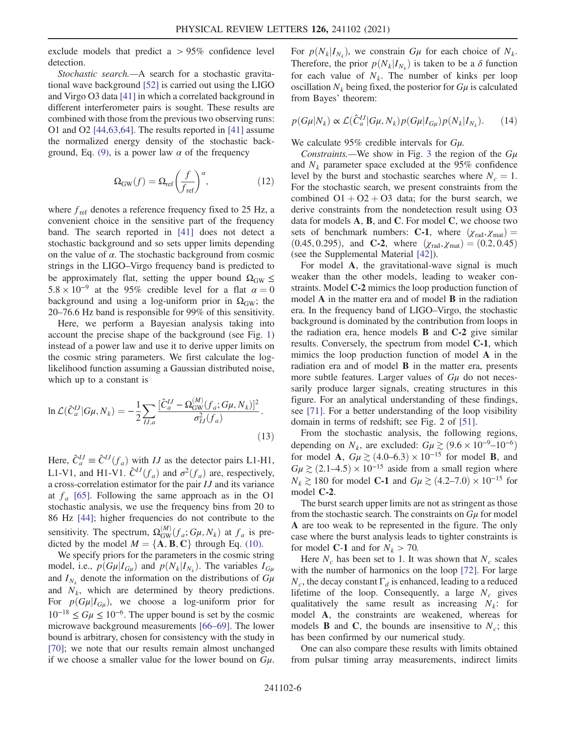exclude models that predict a  $> 95\%$  confidence level detection.

<span id="page-5-0"></span>Stochastic search.—A search for a stochastic gravitational wave background [\[52\]](#page-8-21) is carried out using the LIGO and Virgo O3 data [\[41\]](#page-8-9) in which a correlated background in different interferometer pairs is sought. These results are combined with those from the previous two observing runs: O1 and O2 [\[44,63,64\]](#page-8-11). The results reported in [\[41\]](#page-8-9) assume the normalized energy density of the stochastic back-ground, Eq. [\(9\),](#page-2-3) is a power law  $\alpha$  of the frequency

$$
\Omega_{\rm GW}(f) = \Omega_{\rm ref} \left(\frac{f}{f_{\rm ref}}\right)^{\alpha},\tag{12}
$$

where  $f_{ref}$  denotes a reference frequency fixed to 25 Hz, a convenient choice in the sensitive part of the frequency band. The search reported in [\[41\]](#page-8-9) does not detect a stochastic background and so sets upper limits depending on the value of  $\alpha$ . The stochastic background from cosmic strings in the LIGO–Virgo frequency band is predicted to be approximately flat, setting the upper bound  $\Omega_{\rm GW} \leq$  $5.8 \times 10^{-9}$  at the 95% credible level for a flat  $\alpha = 0$ background and using a log-uniform prior in  $\Omega_{GW}$ ; the 20–76.6 Hz band is responsible for 99% of this sensitivity.

Here, we perform a Bayesian analysis taking into account the precise shape of the background (see Fig. [1\)](#page-3-0) instead of a power law and use it to derive upper limits on the cosmic string parameters. We first calculate the loglikelihood function assuming a Gaussian distributed noise, which up to a constant is

$$
\ln \mathcal{L}(\hat{C}_a^{IJ}|G\mu, N_k) = -\frac{1}{2} \sum_{IJ,a} \frac{[\hat{C}_a^{IJ} - \Omega_{\text{GW}}^{(M)}(f_a; G\mu, N_k)]^2}{\sigma_{IJ}^2(f_a)}.
$$
\n(13)

Here,  $\hat{C}_a^{IJ} \equiv \hat{C}^{IJ}(f_a)$  with *IJ* as the detector pairs L1-H1,<br>L1 V1, and H1 V1,  $\hat{C}^{IJ}(f_a)$  and  $\hat{\sigma}^{2}(f_b)$  are representively L1-V1, and H1-V1.  $\hat{C}^{IJ}(f_a)$  and  $\sigma^2(f_a)$  are, respectively, a cross-correlation estimator for the pair IJ and its variance at  $f_a$  [\[65\]](#page-8-29). Following the same approach as in the O1 stochastic analysis, we use the frequency bins from 20 to 86 Hz [\[44\]](#page-8-11); higher frequencies do not contribute to the sensitivity. The spectrum,  $\Omega_{GW}^{(M)}(f_a; G\mu, N_k)$  at  $f_a$  is pre-<br>dicted by the model  $M - \lambda R$  R C \ through Eq. (10) dicted by the model  $M = \{A, B, C\}$  through Eq. [\(10\).](#page-2-1)

We specify priors for the parameters in the cosmic string model, i.e.,  $p(G\mu | I_{G\mu})$  and  $p(N_k | I_{N_k})$ . The variables  $I_{G\mu}$ and  $I_{N_k}$  denote the information on the distributions of  $G\mu$ and  $N_k$ , which are determined by theory predictions. For  $p(G\mu|I_{Gu})$ , we choose a log-uniform prior for  $10^{-18} \le G\mu \le 10^{-6}$ . The upper bound is set by the cosmic microwave background measurements [66–[69\].](#page-8-30) The lower bound is arbitrary, chosen for consistency with the study in [\[70\]](#page-8-31); we note that our results remain almost unchanged if we choose a smaller value for the lower bound on  $G\mu$ .

For  $p(N_k|I_{N_k})$ , we constrain  $G\mu$  for each choice of  $N_k$ .<br>Therefore the prior  $p(N_k|I_{k_k})$  is taken to be a  $\delta$  function Therefore, the prior  $p(N_k|I_{N_k})$  is taken to be a  $\delta$  function<br>for each value of  $N_k$ . The number of kinks per loop for each value of  $N_k$ . The number of kinks per loop oscillation  $N_k$  being fixed, the posterior for  $G\mu$  is calculated from Bayes' theorem:

$$
p(G\mu|N_k) \propto \mathcal{L}(\hat{C}_a^{IJ}|G\mu, N_k)p(G\mu|I_{G\mu})p(N_k|I_{N_k}). \tag{14}
$$

We calculate 95% credible intervals for  $G\mu$ .

*Constraints.*—We show in Fig. [3](#page-6-0) the region of the  $G\mu$ and  $N_k$  parameter space excluded at the 95% confidence level by the burst and stochastic searches where  $N_c = 1$ . For the stochastic search, we present constraints from the combined  $01 + 02 + 03$  data; for the burst search, we derive constraints from the nondetection result using O3 data for models  $A$ ,  $B$ , and  $C$ . For model  $C$ , we choose two sets of benchmark numbers: C-1, where  $(\chi_{rad}, \chi_{mat})$  =  $(0.45, 0.295)$ , and **C-2**, where  $(\chi_{rad}, \chi_{mat}) = (0.2, 0.45)$ (see the Supplemental Material [\[42\]](#page-8-10)).

For model A, the gravitational-wave signal is much weaker than the other models, leading to weaker constraints. Model C-2 mimics the loop production function of model A in the matter era and of model B in the radiation era. In the frequency band of LIGO–Virgo, the stochastic background is dominated by the contribution from loops in the radiation era, hence models B and C-2 give similar results. Conversely, the spectrum from model C-1, which mimics the loop production function of model A in the radiation era and of model B in the matter era, presents more subtle features. Larger values of  $G\mu$  do not necessarily produce larger signals, creating structures in this figure. For an analytical understanding of these findings, see [\[71\]](#page-8-32). For a better understanding of the loop visibility domain in terms of redshift; see Fig. 2 of [\[51\]](#page-8-20).

From the stochastic analysis, the following regions, depending on  $N_k$ , are excluded:  $G\mu \gtrsim (9.6 \times 10^{-9} - 10^{-6})$ for model A,  $G\mu \gtrsim (4.0-6.3) \times 10^{-15}$  for model B, and  $G\mu \gtrsim (2.1-4.5) \times 10^{-15}$  aside from a small region where  $N_k \gtrsim 180$  for model **C-1** and  $G\mu \gtrsim (4.2–7.0) \times 10^{-15}$  for model C-2.

The burst search upper limits are not as stringent as those from the stochastic search. The constraints on  $G\mu$  for model A are too weak to be represented in the figure. The only case where the burst analysis leads to tighter constraints is for model **C-1** and for  $N_k > 70$ .

Here  $N_c$  has been set to 1. It was shown that  $N_c$  scales with the number of harmonics on the loop [\[72\].](#page-8-33) For large  $N_c$ , the decay constant  $\Gamma_d$  is enhanced, leading to a reduced lifetime of the loop. Consequently, a large  $N_c$  gives qualitatively the same result as increasing  $N_k$ : for model A, the constraints are weakened, whereas for models **B** and **C**, the bounds are insensitive to  $N_c$ ; this has been confirmed by our numerical study.

One can also compare these results with limits obtained from pulsar timing array measurements, indirect limits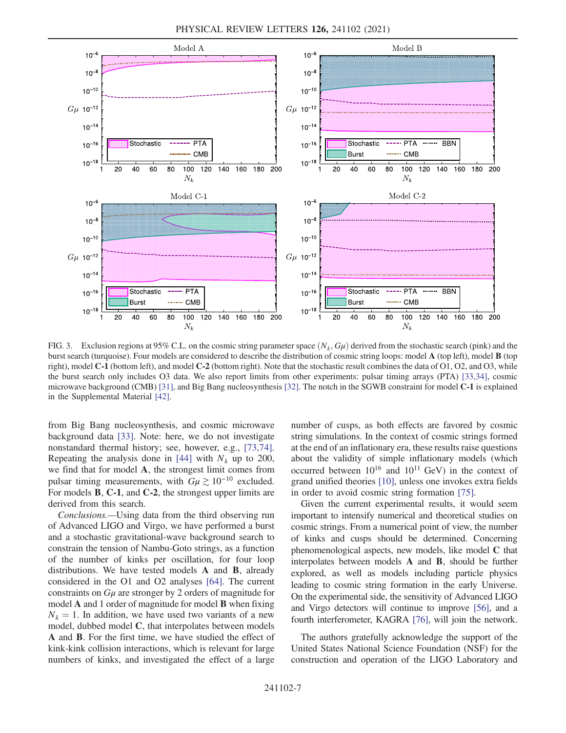<span id="page-6-0"></span>

FIG. 3. Exclusion regions at 95% C.L. on the cosmic string parameter space  $(N_k, G\mu)$  derived from the stochastic search (pink) and the burst search (turquoise). Four models are considered to describe the distribution of cosmic string loops: model A (top left), model B (top right), model C-1 (bottom left), and model C-2 (bottom right). Note that the stochastic result combines the data of O1, O2, and O3, while the burst search only includes O3 data. We also report limits from other experiments: pulsar timing arrays (PTA) [\[33,34\]](#page-8-6), cosmic microwave background (CMB) [\[31\]](#page-8-4), and Big Bang nucleosynthesis [\[32\]](#page-8-5). The notch in the SGWB constraint for model C-1 is explained in the Supplemental Material [\[42\]](#page-8-10).

from Big Bang nucleosynthesis, and cosmic microwave background data [\[33\]](#page-8-6). Note: here, we do not investigate nonstandard thermal history; see, however, e.g., [\[73,74\]](#page-8-34). Repeating the analysis done in [\[44\]](#page-8-11) with  $N_k$  up to 200, we find that for model A, the strongest limit comes from pulsar timing measurements, with  $G\mu \gtrsim 10^{-10}$  excluded. For models B, C-1, and C-2, the strongest upper limits are derived from this search.

Conclusions.—Using data from the third observing run of Advanced LIGO and Virgo, we have performed a burst and a stochastic gravitational-wave background search to constrain the tension of Nambu-Goto strings, as a function of the number of kinks per oscillation, for four loop distributions. We have tested models A and B, already considered in the O1 and O2 analyses [\[64\]](#page-8-35). The current constraints on  $G\mu$  are stronger by 2 orders of magnitude for model A and 1 order of magnitude for model B when fixing  $N_k = 1$ . In addition, we have used two variants of a new model, dubbed model C, that interpolates between models A and B. For the first time, we have studied the effect of kink-kink collision interactions, which is relevant for large numbers of kinks, and investigated the effect of a large number of cusps, as both effects are favored by cosmic string simulations. In the context of cosmic strings formed at the end of an inflationary era, these results raise questions about the validity of simple inflationary models (which occurred between  $10^{16}$  and  $10^{11}$  GeV) in the context of grand unified theories [\[10\],](#page-7-6) unless one invokes extra fields in order to avoid cosmic string formation [\[75\].](#page-8-36)

Given the current experimental results, it would seem important to intensify numerical and theoretical studies on cosmic strings. From a numerical point of view, the number of kinks and cusps should be determined. Concerning phenomenological aspects, new models, like model C that interpolates between models A and B, should be further explored, as well as models including particle physics leading to cosmic string formation in the early Universe. On the experimental side, the sensitivity of Advanced LIGO and Virgo detectors will continue to improve [\[56\]](#page-8-25), and a fourth interferometer, KAGRA [\[76\]](#page-8-37), will join the network.

The authors gratefully acknowledge the support of the United States National Science Foundation (NSF) for the construction and operation of the LIGO Laboratory and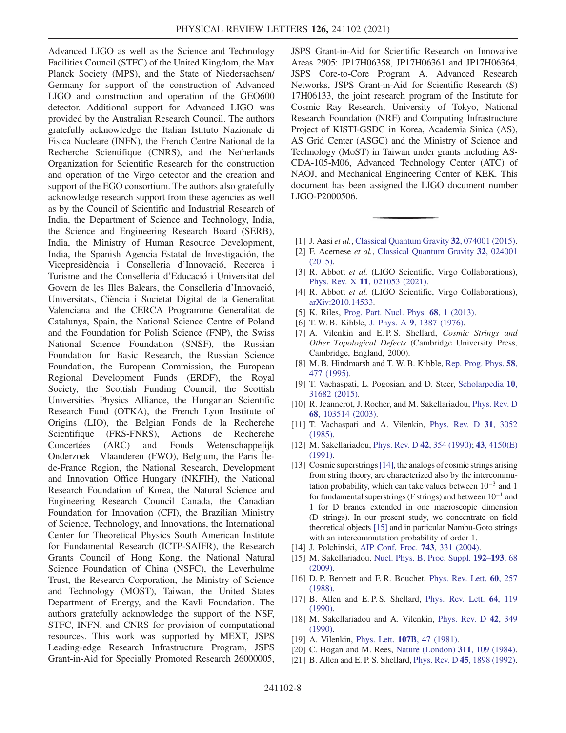Advanced LIGO as well as the Science and Technology Facilities Council (STFC) of the United Kingdom, the Max Planck Society (MPS), and the State of Niedersachsen/ Germany for support of the construction of Advanced LIGO and construction and operation of the GEO600 detector. Additional support for Advanced LIGO was provided by the Australian Research Council. The authors gratefully acknowledge the Italian Istituto Nazionale di Fisica Nucleare (INFN), the French Centre National de la Recherche Scientifique (CNRS), and the Netherlands Organization for Scientific Research for the construction and operation of the Virgo detector and the creation and support of the EGO consortium. The authors also gratefully acknowledge research support from these agencies as well as by the Council of Scientific and Industrial Research of India, the Department of Science and Technology, India, the Science and Engineering Research Board (SERB), India, the Ministry of Human Resource Development, India, the Spanish Agencia Estatal de Investigación, the Vicepresidència i Conselleria d'Innovació, Recerca i Turisme and the Conselleria d'Educació i Universitat del Govern de les Illes Balears, the Conselleria d'Innovació, Universitats, Ciència i Societat Digital de la Generalitat Valenciana and the CERCA Programme Generalitat de Catalunya, Spain, the National Science Centre of Poland and the Foundation for Polish Science (FNP), the Swiss National Science Foundation (SNSF), the Russian Foundation for Basic Research, the Russian Science Foundation, the European Commission, the European Regional Development Funds (ERDF), the Royal Society, the Scottish Funding Council, the Scottish Universities Physics Alliance, the Hungarian Scientific Research Fund (OTKA), the French Lyon Institute of Origins (LIO), the Belgian Fonds de la Recherche Scientifique (FRS-FNRS), Actions de Recherche Concertées (ARC) and Fonds Wetenschappelijk Onderzoek—Vlaanderen (FWO), Belgium, the Paris Îlede-France Region, the National Research, Development and Innovation Office Hungary (NKFIH), the National Research Foundation of Korea, the Natural Science and Engineering Research Council Canada, the Canadian Foundation for Innovation (CFI), the Brazilian Ministry of Science, Technology, and Innovations, the International Center for Theoretical Physics South American Institute for Fundamental Research (ICTP-SAIFR), the Research Grants Council of Hong Kong, the National Natural Science Foundation of China (NSFC), the Leverhulme Trust, the Research Corporation, the Ministry of Science and Technology (MOST), Taiwan, the United States Department of Energy, and the Kavli Foundation. The authors gratefully acknowledge the support of the NSF, STFC, INFN, and CNRS for provision of computational resources. This work was supported by MEXT, JSPS Leading-edge Research Infrastructure Program, JSPS Grant-in-Aid for Specially Promoted Research 26000005,

JSPS Grant-in-Aid for Scientific Research on Innovative Areas 2905: JP17H06358, JP17H06361 and JP17H06364, JSPS Core-to-Core Program A. Advanced Research Networks, JSPS Grant-in-Aid for Scientific Research (S) 17H06133, the joint research program of the Institute for Cosmic Ray Research, University of Tokyo, National Research Foundation (NRF) and Computing Infrastructure Project of KISTI-GSDC in Korea, Academia Sinica (AS), AS Grid Center (ASGC) and the Ministry of Science and Technology (MoST) in Taiwan under grants including AS-CDA-105-M06, Advanced Technology Center (ATC) of NAOJ, and Mechanical Engineering Center of KEK. This document has been assigned the LIGO document number LIGO-P2000506.

- <span id="page-7-1"></span><span id="page-7-0"></span>[1] J. Aasi *et al.*, [Classical Quantum Gravity](https://doi.org/10.1088/0264-9381/32/7/074001) **32**, 074001 (2015).
- [2] F. Acernese et al., [Classical Quantum Gravity](https://doi.org/10.1088/0264-9381/32/2/024001) 32, 024001 [\(2015\).](https://doi.org/10.1088/0264-9381/32/2/024001)
- <span id="page-7-2"></span>[3] R. Abbott et al. (LIGO Scientific, Virgo Collaborations), Phys. Rev. X 11[, 021053 \(2021\)](https://doi.org/10.1103/PhysRevX.11.021053).
- <span id="page-7-3"></span>[4] R. Abbott et al. (LIGO Scientific, Virgo Collaborations), [arXiv:2010.14533.](https://arXiv.org/abs/2010.14533)
- <span id="page-7-5"></span><span id="page-7-4"></span>[5] K. Riles, [Prog. Part. Nucl. Phys.](https://doi.org/10.1016/j.ppnp.2012.08.001) **68**, 1 (2013).
- <span id="page-7-8"></span>[6] T. W. B. Kibble, J. Phys. A 9[, 1387 \(1976\)](https://doi.org/10.1088/0305-4470/9/8/029).
- [7] A. Vilenkin and E.P.S. Shellard, Cosmic Strings and Other Topological Defects (Cambridge University Press, Cambridge, England, 2000).
- [8] M. B. Hindmarsh and T. W. B. Kibble, [Rep. Prog. Phys.](https://doi.org/10.1088/0034-4885/58/5/001) **58**, [477 \(1995\)](https://doi.org/10.1088/0034-4885/58/5/001).
- [9] T. Vachaspati, L. Pogosian, and D. Steer, [Scholarpedia](https://doi.org/10.4249/scholarpedia.31682) 10, [31682 \(2015\).](https://doi.org/10.4249/scholarpedia.31682)
- <span id="page-7-6"></span>[10] R. Jeannerot, J. Rocher, and M. Sakellariadou, [Phys. Rev. D](https://doi.org/10.1103/PhysRevD.68.103514). 68[, 103514 \(2003\).](https://doi.org/10.1103/PhysRevD.68.103514)
- <span id="page-7-7"></span>[11] T. Vachaspati and A. Vilenkin, [Phys. Rev. D](https://doi.org/10.1103/PhysRevD.31.3052) 31, 3052 [\(1985\).](https://doi.org/10.1103/PhysRevD.31.3052)
- <span id="page-7-11"></span>[12] M. Sakellariadou, [Phys. Rev. D](https://doi.org/10.1103/PhysRevD.42.354) 42, 354 (1990); 43[, 4150\(E\)](https://doi.org/10.1103/PhysRevD.43.4150.2) [\(1991\).](https://doi.org/10.1103/PhysRevD.43.4150.2)
- <span id="page-7-9"></span>[13] Cosmic superstrings [\[14\],](#page-7-13) the analogs of cosmic strings arising from string theory, are characterized also by the intercommutation probability, which can take values between  $10^{-3}$  and 1 for fundamental superstrings (F strings) and between  $10^{-1}$  and 1 for D branes extended in one macroscopic dimension (D strings). In our present study, we concentrate on field theoretical objects [\[15\]](#page-7-14) and in particular Nambu-Goto strings with an intercommutation probability of order 1.
- <span id="page-7-14"></span><span id="page-7-13"></span>[14] J. Polchinski, [AIP Conf. Proc.](https://doi.org/10.1063/1.1848338) **743**, 331 (2004).
- [15] M. Sakellariadou, [Nucl. Phys. B, Proc. Suppl.](https://doi.org/10.1016/j.nuclphysbps.2009.07.046) 192–193, 68 [\(2009\).](https://doi.org/10.1016/j.nuclphysbps.2009.07.046)
- <span id="page-7-10"></span>[16] D. P. Bennett and F. R. Bouchet, [Phys. Rev. Lett.](https://doi.org/10.1103/PhysRevLett.60.257) 60, 257 [\(1988\).](https://doi.org/10.1103/PhysRevLett.60.257)
- [17] B. Allen and E.P.S. Shellard, [Phys. Rev. Lett.](https://doi.org/10.1103/PhysRevLett.64.119) **64**, 119 [\(1990\).](https://doi.org/10.1103/PhysRevLett.64.119)
- [18] M. Sakellariadou and A. Vilenkin, [Phys. Rev. D](https://doi.org/10.1103/PhysRevD.42.349) 42, 349 [\(1990\).](https://doi.org/10.1103/PhysRevD.42.349)
- [19] A. Vilenkin, *Phys. Lett.* **107B**[, 47 \(1981\).](https://doi.org/10.1016/0370-2693(81)91144-8)
- <span id="page-7-12"></span>[20] C. Hogan and M. Rees, [Nature \(London\)](https://doi.org/10.1038/311109a0) **311**, 109 (1984).
- [21] B. Allen and E. P. S. Shellard, Phys. Rev. D 45[, 1898 \(1992\).](https://doi.org/10.1103/PhysRevD.45.1898)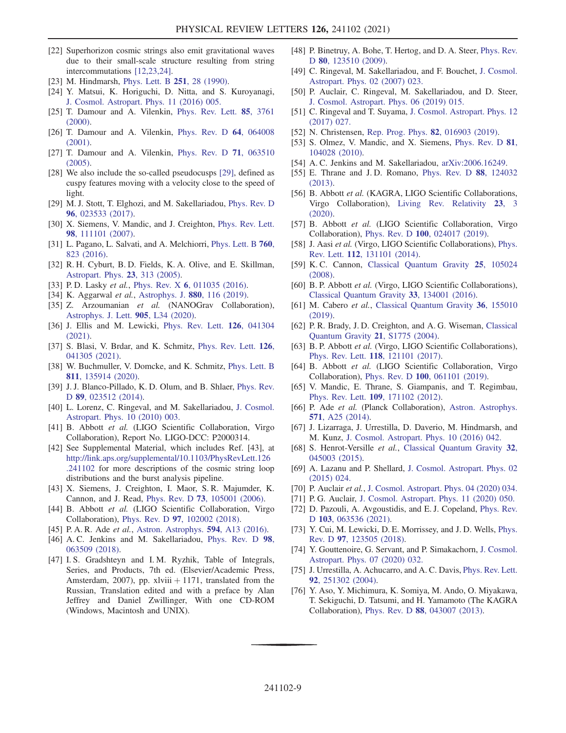- <span id="page-8-0"></span>[22] Superhorizon cosmic strings also emit gravitational waves due to their small-scale structure resulting from string intercommutations [\[12,23,24\]](#page-7-11).
- [23] M. Hindmarsh, [Phys. Lett. B](https://doi.org/10.1016/0370-2693(90)90226-V) **251**, 28 (1990).
- [24] Y. Matsui, K. Horiguchi, D. Nitta, and S. Kuroyanagi, [J. Cosmol. Astropart. Phys. 11 \(2016\) 005.](https://doi.org/10.1088/1475-7516/2016/11/005)
- <span id="page-8-1"></span>[25] T. Damour and A. Vilenkin, [Phys. Rev. Lett.](https://doi.org/10.1103/PhysRevLett.85.3761) 85, 3761 [\(2000\).](https://doi.org/10.1103/PhysRevLett.85.3761)
- <span id="page-8-12"></span>[26] T. Damour and A. Vilenkin, [Phys. Rev. D](https://doi.org/10.1103/PhysRevD.64.064008) 64, 064008 [\(2001\).](https://doi.org/10.1103/PhysRevD.64.064008)
- <span id="page-8-3"></span>[27] T. Damour and A. Vilenkin, [Phys. Rev. D](https://doi.org/10.1103/PhysRevD.71.063510) 71, 063510 [\(2005\).](https://doi.org/10.1103/PhysRevD.71.063510)
- <span id="page-8-2"></span>[28] We also include the so-called pseudocusps [\[29\],](#page-8-38) defined as cuspy features moving with a velocity close to the speed of light.
- <span id="page-8-38"></span>[29] M. J. Stott, T. Elghozi, and M. Sakellariadou, [Phys. Rev. D](https://doi.org/10.1103/PhysRevD.96.023533) 96[, 023533 \(2017\).](https://doi.org/10.1103/PhysRevD.96.023533)
- [30] X. Siemens, V. Mandic, and J. Creighton, [Phys. Rev. Lett.](https://doi.org/10.1103/PhysRevLett.98.111101) 98[, 111101 \(2007\).](https://doi.org/10.1103/PhysRevLett.98.111101)
- <span id="page-8-4"></span>[31] L. Pagano, L. Salvati, and A. Melchiorri, [Phys. Lett. B](https://doi.org/10.1016/j.physletb.2016.07.078) 760, [823 \(2016\)](https://doi.org/10.1016/j.physletb.2016.07.078).
- <span id="page-8-5"></span>[32] R. H. Cyburt, B. D. Fields, K. A. Olive, and E. Skillman, [Astropart. Phys.](https://doi.org/10.1016/j.astropartphys.2005.01.005) 23, 313 (2005).
- <span id="page-8-6"></span>[33] P.D. Lasky et al., Phys. Rev. X 6[, 011035 \(2016\).](https://doi.org/10.1103/PhysRevX.6.011035)
- [34] K. Aggarwal et al., [Astrophys. J.](https://doi.org/10.3847/1538-4357/ab2236) 880, 116 (2019).
- [35] Z. Arzoumanian et al. (NANOGrav Collaboration), [Astrophys. J. Lett.](https://doi.org/10.3847/2041-8213/abd401) 905, L34 (2020).
- <span id="page-8-7"></span>[36] J. Ellis and M. Lewicki, [Phys. Rev. Lett.](https://doi.org/10.1103/PhysRevLett.126.041304) **126**, 041304 [\(2021\).](https://doi.org/10.1103/PhysRevLett.126.041304)
- [37] S. Blasi, V. Brdar, and K. Schmitz, [Phys. Rev. Lett.](https://doi.org/10.1103/PhysRevLett.126.041305) 126, [041305 \(2021\).](https://doi.org/10.1103/PhysRevLett.126.041305)
- [38] W. Buchmuller, V. Domcke, and K. Schmitz, [Phys. Lett. B](https://doi.org/10.1016/j.physletb.2020.135914) 811[, 135914 \(2020\).](https://doi.org/10.1016/j.physletb.2020.135914)
- <span id="page-8-8"></span>[39] J.J. Blanco-Pillado, K.D. Olum, and B. Shlaer, [Phys. Rev.](https://doi.org/10.1103/PhysRevD.89.023512) D 89[, 023512 \(2014\)](https://doi.org/10.1103/PhysRevD.89.023512).
- <span id="page-8-17"></span>[40] L. Lorenz, C. Ringeval, and M. Sakellariadou, [J. Cosmol.](https://doi.org/10.1088/1475-7516/2010/10/003) [Astropart. Phys. 10 \(2010\) 003.](https://doi.org/10.1088/1475-7516/2010/10/003)
- <span id="page-8-9"></span>[41] B. Abbott et al. (LIGO Scientific Collaboration, Virgo Collaboration), Report No. LIGO-DCC: P2000314.
- <span id="page-8-10"></span>[42] See Supplemental Material, which includes Ref. [43], at [http://link.aps.org/supplemental/10.1103/PhysRevLett.126](http://link.aps.org/supplemental/10.1103/PhysRevLett.126.241102) [.241102](http://link.aps.org/supplemental/10.1103/PhysRevLett.126.241102) for more descriptions of the cosmic string loop distributions and the burst analysis pipeline.
- [43] X. Siemens, J. Creighton, I. Maor, S. R. Majumder, K. Cannon, and J. Read, Phys. Rev. D 73[, 105001 \(2006\)](https://doi.org/10.1103/PhysRevD.73.105001).
- <span id="page-8-11"></span>[44] B. Abbott et al. (LIGO Scientific Collaboration, Virgo Collaboration), Phys. Rev. D 97[, 102002 \(2018\)](https://doi.org/10.1103/PhysRevD.97.102002).
- <span id="page-8-13"></span>[45] P. A. R. Ade et al., [Astron. Astrophys.](https://doi.org/10.1051/0004-6361/201525830) **594**, A13 (2016).
- <span id="page-8-14"></span>[46] A. C. Jenkins and M. Sakellariadou, [Phys. Rev. D](https://doi.org/10.1103/PhysRevD.98.063509) 98, [063509 \(2018\).](https://doi.org/10.1103/PhysRevD.98.063509)
- <span id="page-8-15"></span>[47] I.S. Gradshteyn and I.M. Ryzhik, Table of Integrals, Series, and Products, 7th ed. (Elsevier/Academic Press, Amsterdam, 2007), pp. xlviii  $+1171$ , translated from the Russian, Translation edited and with a preface by Alan Jeffrey and Daniel Zwillinger, With one CD-ROM (Windows, Macintosh and UNIX).
- <span id="page-8-16"></span>[48] P. Binetruy, A. Bohe, T. Hertog, and D. A. Steer, [Phys. Rev.](https://doi.org/10.1103/PhysRevD.80.123510) D 80[, 123510 \(2009\)](https://doi.org/10.1103/PhysRevD.80.123510).
- <span id="page-8-18"></span>[49] C. Ringeval, M. Sakellariadou, and F. Bouchet, [J. Cosmol.](https://doi.org/10.1088/1475-7516/2007/02/023) [Astropart. Phys. 02 \(2007\) 023.](https://doi.org/10.1088/1475-7516/2007/02/023)
- <span id="page-8-19"></span>[50] P. Auclair, C. Ringeval, M. Sakellariadou, and D. Steer, [J. Cosmol. Astropart. Phys. 06 \(2019\) 015.](https://doi.org/10.1088/1475-7516/2019/06/015)
- <span id="page-8-20"></span>[51] C. Ringeval and T. Suyama, [J. Cosmol. Astropart. Phys. 12](https://doi.org/10.1088/1475-7516/2017/12/027) [\(2017\) 027.](https://doi.org/10.1088/1475-7516/2017/12/027)
- <span id="page-8-21"></span>[52] N. Christensen, [Rep. Prog. Phys.](https://doi.org/10.1088/1361-6633/aae6b5) **82**, 016903 (2019).
- <span id="page-8-22"></span>[53] S. Olmez, V. Mandic, and X. Siemens, [Phys. Rev. D](https://doi.org/10.1103/PhysRevD.81.104028) 81, [104028 \(2010\).](https://doi.org/10.1103/PhysRevD.81.104028)
- <span id="page-8-23"></span>[54] A. C. Jenkins and M. Sakellariadou, [arXiv:2006.16249](https://arXiv.org/abs/2006.16249).
- <span id="page-8-24"></span>[55] E. Thrane and J. D. Romano, [Phys. Rev. D](https://doi.org/10.1103/PhysRevD.88.124032) 88, 124032 [\(2013\).](https://doi.org/10.1103/PhysRevD.88.124032)
- <span id="page-8-25"></span>[56] B. Abbott et al. (KAGRA, LIGO Scientific Collaborations, Virgo Collaboration), [Living Rev. Relativity](https://doi.org/10.1007/s41114-020-00026-9) 23, 3 [\(2020\).](https://doi.org/10.1007/s41114-020-00026-9)
- [57] B. Abbott et al. (LIGO Scientific Collaboration, Virgo Collaboration), Phys. Rev. D 100[, 024017 \(2019\).](https://doi.org/10.1103/PhysRevD.100.024017)
- [58] J. Aasi et al. (Virgo, LIGO Scientific Collaborations), [Phys.](https://doi.org/10.1103/PhysRevLett.112.131101) Rev. Lett. 112[, 131101 \(2014\).](https://doi.org/10.1103/PhysRevLett.112.131101)
- <span id="page-8-26"></span>[59] K. C. Cannon, [Classical Quantum Gravity](https://doi.org/10.1088/0264-9381/25/10/105024) 25, 105024 [\(2008\).](https://doi.org/10.1088/0264-9381/25/10/105024)
- <span id="page-8-27"></span>[60] B. P. Abbott et al. (Virgo, LIGO Scientific Collaborations), [Classical Quantum Gravity](https://doi.org/10.1088/0264-9381/33/13/134001) 33, 134001 (2016).
- [61] M. Cabero et al., [Classical Quantum Gravity](https://doi.org/10.1088/1361-6382/ab2e14) 36, 155010 [\(2019\).](https://doi.org/10.1088/1361-6382/ab2e14)
- <span id="page-8-28"></span>[62] P. R. Brady, J. D. Creighton, and A. G. Wiseman, [Classical](https://doi.org/10.1088/0264-9381/21/20/020) [Quantum Gravity](https://doi.org/10.1088/0264-9381/21/20/020) 21, S1775 (2004).
- [63] B. P. Abbott et al. (Virgo, LIGO Scientific Collaborations), Phys. Rev. Lett. 118[, 121101 \(2017\).](https://doi.org/10.1103/PhysRevLett.118.121101)
- <span id="page-8-35"></span>[64] B. Abbott et al. (LIGO Scientific Collaboration, Virgo Collaboration), Phys. Rev. D 100[, 061101 \(2019\).](https://doi.org/10.1103/PhysRevD.100.061101)
- <span id="page-8-29"></span>[65] V. Mandic, E. Thrane, S. Giampanis, and T. Regimbau, Phys. Rev. Lett. 109[, 171102 \(2012\).](https://doi.org/10.1103/PhysRevLett.109.171102)
- <span id="page-8-30"></span>[66] P. Ade et al. (Planck Collaboration), [Astron. Astrophys.](https://doi.org/10.1051/0004-6361/201321621) 571[, A25 \(2014\).](https://doi.org/10.1051/0004-6361/201321621)
- [67] J. Lizarraga, J. Urrestilla, D. Daverio, M. Hindmarsh, and M. Kunz, [J. Cosmol. Astropart. Phys. 10 \(2016\) 042.](https://doi.org/10.1088/1475-7516/2016/10/042)
- [68] S. Henrot-Versille et al., [Classical Quantum Gravity](https://doi.org/10.1088/0264-9381/32/4/045003) 32, [045003 \(2015\).](https://doi.org/10.1088/0264-9381/32/4/045003)
- [69] A. Lazanu and P. Shellard, [J. Cosmol. Astropart. Phys. 02](https://doi.org/10.1088/1475-7516/2015/02/024) [\(2015\) 024.](https://doi.org/10.1088/1475-7516/2015/02/024)
- <span id="page-8-31"></span>[70] P. Auclair et al., [J. Cosmol. Astropart. Phys. 04 \(2020\) 034.](https://doi.org/10.1088/1475-7516/2020/04/034)
- <span id="page-8-32"></span>[71] P. G. Auclair, [J. Cosmol. Astropart. Phys. 11 \(2020\) 050.](https://doi.org/10.1088/1475-7516/2020/11/050)
- <span id="page-8-33"></span>[72] D. Pazouli, A. Avgoustidis, and E. J. Copeland, [Phys. Rev.](https://doi.org/10.1103/PhysRevD.103.063536) D 103[, 063536 \(2021\).](https://doi.org/10.1103/PhysRevD.103.063536)
- <span id="page-8-34"></span>[73] Y. Cui, M. Lewicki, D. E. Morrissey, and J. D. Wells, [Phys.](https://doi.org/10.1103/PhysRevD.97.123505) Rev. D 97[, 123505 \(2018\)](https://doi.org/10.1103/PhysRevD.97.123505).
- [74] Y. Gouttenoire, G. Servant, and P. Simakachorn, [J. Cosmol.](https://doi.org/10.1088/1475-7516/2020/07/032) [Astropart. Phys. 07 \(2020\) 032.](https://doi.org/10.1088/1475-7516/2020/07/032)
- <span id="page-8-36"></span>[75] J. Urrestilla, A. Achucarro, and A. C. Davis, [Phys. Rev. Lett.](https://doi.org/10.1103/PhysRevLett.92.251302) 92[, 251302 \(2004\).](https://doi.org/10.1103/PhysRevLett.92.251302)
- <span id="page-8-37"></span>[76] Y. Aso, Y. Michimura, K. Somiya, M. Ando, O. Miyakawa, T. Sekiguchi, D. Tatsumi, and H. Yamamoto (The KAGRA Collaboration), Phys. Rev. D 88[, 043007 \(2013\)](https://doi.org/10.1103/PhysRevD.88.043007).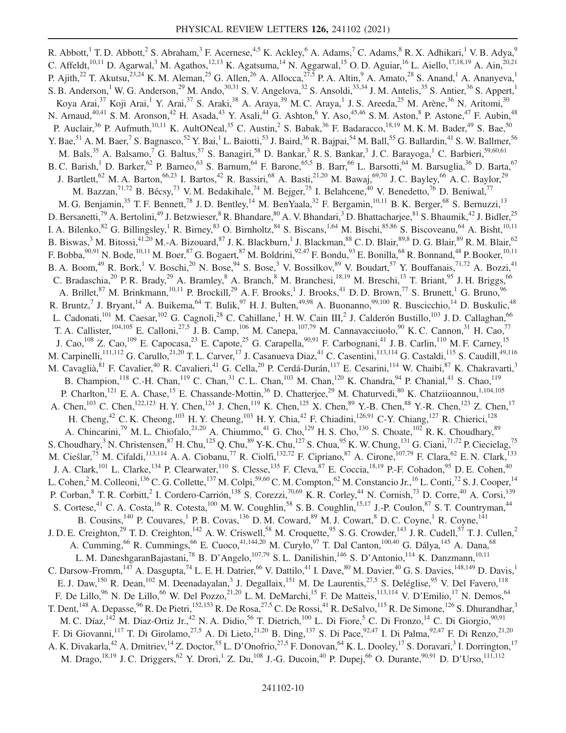R. Abbott,<sup>1</sup> T. D. Abbott,<sup>2</sup> S. Abraham,<sup>3</sup> F. Acernese,<sup>4,5</sup> K. Ackley,<sup>6</sup> A. Adams,<sup>7</sup> C. Adams,<sup>8</sup> R. X. Adhikari,<sup>1</sup> V. B. Adya,<sup>9</sup> C. Affeldt,<sup>10,11</sup> D. Agarwal,<sup>3</sup> M. Agathos,<sup>12,13</sup> K. Agatsuma,<sup>14</sup> N. Aggarwal,<sup>15</sup> O. D. Aguiar,<sup>16</sup> L. Aiello,<sup>17,18,19</sup> A. Ain,<sup>20,21</sup> P. Ajith,<sup>22</sup> T. Akutsu,<sup>23,24</sup> K. M. Aleman,<sup>25</sup> G. Allen,<sup>26</sup> A. Allocca,<sup>27,5</sup> P. A. Altin,<sup>9</sup> A. Amato,<sup>28</sup> S. Anand,<sup>1</sup> A. Ananyeva,<sup>1</sup> S. B. Anderson,<sup>1</sup> W. G. Anderson,<sup>29</sup> M. Ando,<sup>30,31</sup> S. V. Angelova,<sup>32</sup> S. Ansoldi,<sup>33,34</sup> J. M. Antelis,<sup>35</sup> S. Antier,<sup>36</sup> S. Appert,<sup>1</sup> Koya Arai,<sup>37</sup> Koji Arai,<sup>1</sup> Y. Arai,<sup>37</sup> S. Araki,<sup>38</sup> A. Araya,<sup>39</sup> M. C. Araya,<sup>1</sup> J. S. Areeda,<sup>25</sup> M. Arène,<sup>36</sup> N. Aritomi,<sup>30</sup> N. Arnaud,<sup>40,41</sup> S.M. Aronson,<sup>42</sup> H. Asada,<sup>43</sup> Y. Asali,<sup>44</sup> G. Ashton,<sup>6</sup> Y. Aso,<sup>45,46</sup> S.M. Aston,<sup>8</sup> P. Astone,<sup>47</sup> F. Aubin,<sup>48</sup> P. Auclair,<sup>36</sup> P. Aufmuth,<sup>10,11</sup> K. AultONeal,<sup>35</sup> C. Austin,<sup>2</sup> S. Babak,<sup>36</sup> F. Badaracco,<sup>18,19</sup> M. K. M. Bader,<sup>49</sup> S. Bae,<sup>50</sup> Y. Bae,<sup>51</sup> A. M. Baer,<sup>7</sup> S. Bagnasco,<sup>52</sup> Y. Bai,<sup>1</sup> L. Baiotti,<sup>53</sup> J. Baird,<sup>36</sup> R. Bajpai,<sup>54</sup> M. Ball,<sup>55</sup> G. Ballardin,<sup>41</sup> S. W. Ballmer,<sup>56</sup> M. Bals,  $35$  A. Balsamo, <sup>7</sup> G. Baltus,  $57$  S. Banagiri,  $58$  D. Bankar,  $3$  R. S. Bankar,  $3$  J. C. Barayoga,  $1$  C. Barbieri,  $59,60,61$ B. C. Barish,<sup>1</sup> D. Barker,<sup>62</sup> P. Barneo,<sup>63</sup> S. Barnum,<sup>64</sup> F. Barone,<sup>65,5</sup> B. Barr,<sup>66</sup> L. Barsotti,<sup>64</sup> M. Barsuglia,<sup>36</sup> D. Barta,<sup>67</sup> J. Bartlett,<sup>62</sup> M. A. Barton,<sup>66,23</sup> I. Bartos,<sup>42</sup> R. Bassiri,<sup>68</sup> A. Basti,<sup>21,20</sup> M. Bawaj,<sup>69,70</sup> J. C. Bayley,<sup>66</sup> A. C. Baylor,<sup>29</sup> M. Bazzan,  $^{71,72}$  B. Bécsy,  $^{73}$  V. M. Bedakihale,  $^{74}$  M. Bejger,  $^{75}$  I. Belahcene,  $^{40}$  V. Benedetto,  $^{76}$  D. Beniwal,  $^{77}$ M. G. Benjamin,<sup>35</sup> T. F. Bennett,<sup>78</sup> J. D. Bentley,<sup>14</sup> M. BenYaala,<sup>32</sup> F. Bergamin,<sup>10,11</sup> B. K. Berger,<sup>68</sup> S. Bernuzzi,<sup>13</sup> D. Bersanetti,<sup>79</sup> A. Bertolini,<sup>49</sup> J. Betzwieser, <sup>8</sup> R. Bhandare, <sup>80</sup> A. V. Bhandari, <sup>3</sup> D. Bhattacharjee, <sup>81</sup> S. Bhaumik,<sup>42</sup> J. Bidler,<sup>25</sup> I. A. Bilenko,  $82$  G. Billingsley,<sup>1</sup> R. Birney,  $83$  O. Birnholtz,  $84$  S. Biscans,  $1,64$  M. Bischi,  $85,86$  S. Biscoveanu,  $64$  A. Bisht,  $10,11$ B. Biswas,<sup>3</sup> M. Bitossi,<sup>41,20</sup> M.-A. Bizouard,<sup>87</sup> J. K. Blackburn,<sup>1</sup> J. Blackman,<sup>88</sup> C. D. Blair,<sup>89,8</sup> D. G. Blair,<sup>89</sup> R. M. Blair,<sup>62</sup> F. Bobba,  $90,91$  N. Bode,  $10,11$  M. Boer,  $87$  G. Bogaert,  $87$  M. Boldrini,  $92,47$  F. Bondu,  $93$  E. Bonilla,  $68$  R. Bonnand,  $48$  P. Booker,  $10,11$ B. A. Boom,<sup>49</sup> R. Bork,<sup>1</sup> V. Boschi,<sup>20</sup> N. Bose,<sup>94</sup> S. Bose,<sup>3</sup> V. Bossilkov,<sup>89</sup> V. Boudart,<sup>57</sup> Y. Bouffanais,<sup>71,72</sup> A. Bozzi,<sup>41</sup> C. Bradaschia,<sup>20</sup> P. R. Brady,<sup>29</sup> A. Bramley,<sup>8</sup> A. Branch,<sup>8</sup> M. Branchesi,<sup>18,19</sup> M. Breschi,<sup>13</sup> T. Briant,<sup>95</sup> J. H. Briggs,<sup>66</sup> A. Brillet,<sup>87</sup> M. Brinkmann,<sup>10,11</sup> P. Brockill,<sup>29</sup> A. F. Brooks,<sup>1</sup> J. Brooks,<sup>41</sup> D. D. Brown,<sup>77</sup> S. Brunett,<sup>1</sup> G. Bruno,<sup>96</sup> R. Bruntz,<sup>7</sup> J. Bryant,<sup>14</sup> A. Buikema,<sup>64</sup> T. Bulik,<sup>97</sup> H. J. Bulten,<sup>49,98</sup> A. Buonanno,<sup>99,100</sup> R. Buscicchio,<sup>14</sup> D. Buskulic,<sup>48</sup> L. Cadonati,<sup>101</sup> M. Caesar,<sup>102</sup> G. Cagnoli,<sup>28</sup> C. Cahillane,<sup>1</sup> H.W. Cain III,<sup>2</sup> J. Calderón Bustillo,<sup>103</sup> J.D. Callaghan,<sup>66</sup> T. A. Callister,  $^{104,105}$  E. Calloni,  $^{27,5}$  J. B. Camp,  $^{106}$  M. Canepa,  $^{107,79}$  M. Cannavacciuolo,  $^{90}$  K. C. Cannon,  $^{31}$  H. Cao,  $^{77}$ J. Cao,<sup>108</sup> Z. Cao,<sup>109</sup> E. Capocasa,<sup>23</sup> E. Capote,<sup>25</sup> G. Carapella,<sup>90,91</sup> F. Carbognani,<sup>41</sup> J. B. Carlin,<sup>110</sup> M. F. Carney,<sup>15</sup> M. Carpinelli,<sup>111,112</sup> G. Carullo,<sup>21,20</sup> T. L. Carver,<sup>17</sup> J. Casanueva Diaz,<sup>41</sup> C. Casentini,<sup>113,114</sup> G. Castaldi,<sup>115</sup> S. Caudill,<sup>49,116</sup> M. Cavaglià, <sup>81</sup> F. Cavalier, <sup>40</sup> R. Cavalieri, <sup>41</sup> G. Cella, <sup>20</sup> P. Cerdá-Durán, <sup>117</sup> E. Cesarini, <sup>114</sup> W. Chaibi, <sup>87</sup> K. Chakravarti, <sup>3</sup> B. Champion,<sup>118</sup> C.-H. Chan,<sup>119</sup> C. Chan,<sup>31</sup> C. L. Chan,<sup>103</sup> M. Chan,<sup>120</sup> K. Chandra,<sup>94</sup> P. Chanial,<sup>41</sup> S. Chao,<sup>119</sup> P. Charlton,<sup>121</sup> E. A. Chase,<sup>15</sup> E. Chassande-Mottin,<sup>36</sup> D. Chatterjee,<sup>29</sup> M. Chaturvedi,<sup>80</sup> K. Chatziioannou,<sup>1,104,105</sup> A. Chen,<sup>103</sup> C. Chen,<sup>122,123</sup> H. Y. Chen,<sup>124</sup> J. Chen,<sup>119</sup> K. Chen,<sup>125</sup> X. Chen,<sup>89</sup> Y.-B. Chen,<sup>88</sup> Y.-R. Chen,<sup>123</sup> Z. Chen,<sup>17</sup> H. Cheng,<sup>42</sup> C. K. Cheong,<sup>103</sup> H. Y. Cheung,<sup>103</sup> H. Y. Chia,<sup>42</sup> F. Chiadini,<sup>126,91</sup> C-Y. Chiang,<sup>127</sup> R. Chierici,<sup>128</sup> A. Chincarini,<sup>79</sup> M. L. Chiofalo,<sup>21,20</sup> A. Chiummo,<sup>41</sup> G. Cho,<sup>129</sup> H. S. Cho,<sup>130</sup> S. Choate,<sup>102</sup> R. K. Choudhary,<sup>89</sup> S. Choudhary,<sup>3</sup> N. Christensen,<sup>87</sup> H. Chu,<sup>125</sup> Q. Chu,<sup>89</sup> Y-K. Chu,<sup>127</sup> S. Chua,<sup>95</sup> K. W. Chung,<sup>131</sup> G. Ciani,<sup>71,72</sup> P. Ciecielag,<sup>75</sup> M. Cieślar,<sup>75</sup> M. Cifaldi,<sup>113,114</sup> A. A. Ciobanu,<sup>77</sup> R. Ciolfi,<sup>132,72</sup> F. Cipriano,<sup>87</sup> A. Cirone,<sup>107,79</sup> F. Clara,<sup>62</sup> E. N. Clark,<sup>133</sup> J. A. Clark,<sup>101</sup> L. Clarke,<sup>134</sup> P. Clearwater,<sup>110</sup> S. Clesse,<sup>135</sup> F. Cleva,<sup>87</sup> E. Coccia,<sup>18,19</sup> P.-F. Cohadon,<sup>95</sup> D. E. Cohen,<sup>40</sup> L. Cohen,<sup>2</sup> M. Colleoni,<sup>136</sup> C. G. Collette,<sup>137</sup> M. Colpi,<sup>59,60</sup> C. M. Compton,<sup>62</sup> M. Constancio Jr.,<sup>16</sup> L. Conti,<sup>72</sup> S. J. Cooper,<sup>14</sup> P. Corban, <sup>8</sup> T. R. Corbitt, <sup>2</sup> I. Cordero-Carrión, <sup>138</sup> S. Corezzi, <sup>70,69</sup> K. R. Corley, <sup>44</sup> N. Cornish, <sup>73</sup> D. Corre, <sup>40</sup> A. Corsi, <sup>139</sup> S. Cortese,<sup>41</sup> C. A. Costa,<sup>16</sup> R. Cotesta,<sup>100</sup> M. W. Coughlin,<sup>58</sup> S. B. Coughlin,<sup>15,17</sup> J.-P. Coulon,<sup>87</sup> S. T. Countryman,<sup>44</sup> B. Cousins,<sup>140</sup> P. Couvares,<sup>1</sup> P. B. Covas,<sup>136</sup> D. M. Coward,<sup>89</sup> M. J. Cowart,<sup>8</sup> D. C. Coyne,<sup>1</sup> R. Coyne,<sup>141</sup> J. D. E. Creighton,<sup>29</sup> T. D. Creighton,<sup>142</sup> A. W. Criswell,<sup>58</sup> M. Croquette,<sup>95</sup> S. G. Crowder,<sup>143</sup> J. R. Cudell,<sup>57</sup> T. J. Cullen,<sup>2</sup> A. Cumming,<sup>66</sup> R. Cummings,<sup>66</sup> E. Cuoco,<sup>41,144,20</sup> M. Curyło,<sup>97</sup> T. Dal Canton,<sup>100,40</sup> G. Dálya,<sup>145</sup> A. Dana,<sup>68</sup> L. M. DaneshgaranBajastani,<sup>78</sup> B. D'Angelo,<sup>107,79</sup> S. L. Danilishin,<sup>146</sup> S. D'Antonio,<sup>114</sup> K. Danzmann,<sup>10,11</sup> C. Darsow-Fromm, <sup>147</sup> A. Dasgupta, <sup>74</sup> L. E. H. Datrier, <sup>66</sup> V. Dattilo, <sup>41</sup> I. Dave, <sup>80</sup> M. Davier, <sup>40</sup> G. S. Davies, <sup>148,149</sup> D. Davis, <sup>1</sup> E. J. Daw,<sup>150</sup> R. Dean,<sup>102</sup> M. Deenadayalan,<sup>3</sup> J. Degallaix,<sup>151</sup> M. De Laurentis,<sup>27,5</sup> S. Deléglise,<sup>95</sup> V. Del Favero,<sup>118</sup> F. De Lillo,<sup>96</sup> N. De Lillo,<sup>66</sup> W. Del Pozzo,<sup>21,20</sup> L. M. DeMarchi,<sup>15</sup> F. De Matteis,<sup>113,114</sup> V. D'Emilio,<sup>17</sup> N. Demos,<sup>64</sup> T. Dent,<sup>148</sup> A. Depasse,<sup>96</sup> R. De Pietri,<sup>152,153</sup> R. De Rosa,<sup>27,5</sup> C. De Rossi,<sup>41</sup> R. DeSalvo,<sup>115</sup> R. De Simone,<sup>126</sup> S. Dhurandhar,<sup>3</sup> M. C. Díaz, <sup>142</sup> M. Diaz-Ortiz Jr.,<sup>42</sup> N. A. Didio,<sup>56</sup> T. Dietrich,<sup>100</sup> L. Di Fiore,<sup>5</sup> C. Di Fronzo,<sup>14</sup> C. Di Giorgio,<sup>90,91</sup> F. Di Giovanni,<sup>117</sup> T. Di Girolamo,<sup>27,5</sup> A. Di Lieto,<sup>21,20</sup> B. Ding,<sup>137</sup> S. Di Pace,<sup>92,47</sup> I. Di Palma,<sup>92,47</sup> F. Di Renzo,<sup>21,20</sup> A. K. Divakarla,<sup>42</sup> A. Dmitriev,<sup>14</sup> Z. Doctor,<sup>55</sup> L. D'Onofrio,<sup>27,5</sup> F. Donovan,<sup>64</sup> K. L. Dooley,<sup>17</sup> S. Doravari,<sup>3</sup> I. Dorrington,<sup>17</sup> M. Drago,<sup>18,19</sup> J. C. Driggers,<sup>62</sup> Y. Drori,<sup>1</sup> Z. Du,<sup>108</sup> J.-G. Ducoin,<sup>40</sup> P. Dupej,<sup>66</sup> O. Durante,<sup>90,91</sup> D. D'Urso,<sup>111,112</sup>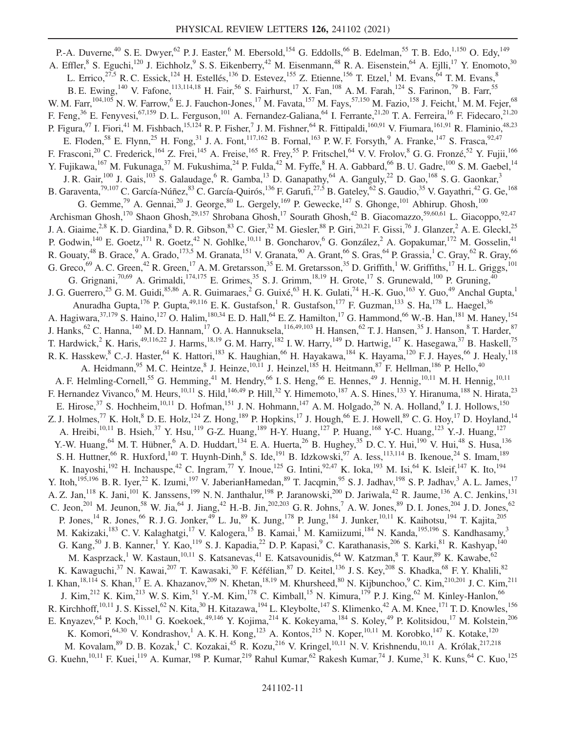P.-A. Duverne,<sup>40</sup> S. E. Dwyer,<sup>62</sup> P. J. Easter,<sup>6</sup> M. Ebersold,<sup>154</sup> G. Eddolls,<sup>66</sup> B. Edelman,<sup>55</sup> T. B. Edo,<sup>1,150</sup> O. Edy,<sup>149</sup> A. Effler, <sup>8</sup> S. Eguchi, <sup>120</sup> J. Eichholz, <sup>9</sup> S. S. Eikenberry, <sup>42</sup> M. Eisenmann, <sup>48</sup> R. A. Eisenstein, <sup>64</sup> A. Ejlli, <sup>17</sup> Y. Enomoto, <sup>30</sup> L. Errico,  $^{27,5}$  R. C. Essick,  $^{124}$  H. Estellés,  $^{136}$  D. Estevez,  $^{155}$  Z. Etienne,  $^{156}$  T. Etzel,  $^1$  M. Evans,  $^{64}$  T. M. Evans,  $^8$ B. E. Ewing,<sup>140</sup> V. Fafone,<sup>113,114,18</sup> H. Fair,<sup>56</sup> S. Fairhurst,<sup>17</sup> X. Fan,<sup>108</sup> A. M. Farah,<sup>124</sup> S. Farinon,<sup>79</sup> B. Farr,<sup>55</sup> W. M. Farr,  $104,105$  N. W. Farrow,  $6$  E. J. Fauchon-Jones,  $17$  M. Favata,  $157$  M. Fays,  $57,150$  M. Fazio,  $158$  J. Feicht,  $1$  M. M. Fejer,  $68$ F. Feng,<sup>36</sup> E. Fenyvesi,<sup>67,159</sup> D. L. Ferguson,<sup>101</sup> A. Fernandez-Galiana,<sup>64</sup> I. Ferrante,<sup>21,20</sup> T. A. Ferreira,<sup>16</sup> F. Fidecaro,<sup>21,20</sup> P. Figura, <sup>97</sup> I. Fiori, <sup>41</sup> M. Fishbach, <sup>15,124</sup> R. P. Fisher, <sup>7</sup> J. M. Fishner, <sup>64</sup> R. Fittipaldi, <sup>160,91</sup> V. Fiumara, <sup>161,91</sup> R. Flaminio, <sup>48,23</sup> E. Floden,<sup>58</sup> E. Flynn,<sup>25</sup> H. Fong,<sup>31</sup> J. A. Font,<sup>117,162</sup> B. Fornal,<sup>163</sup> P. W. F. Forsyth,<sup>9</sup> A. Franke,<sup>147</sup> S. Frasca,<sup>92,47</sup> F. Frasconi,  $20$  C. Frederick,  $164$  Z. Frei,  $145$  A. Freise,  $165$  R. Frey,  $55$  P. Fritschel,  $64$  V. V. Frolov,  $8$  G. G. Fronzé,  $52$  Y. Fujii,  $166$ Y. Fujikawa,<sup>167</sup> M. Fukunaga,<sup>37</sup> M. Fukushima,<sup>24</sup> P. Fulda,<sup>42</sup> M. Fyffe,<sup>8</sup> H. A. Gabbard,<sup>66</sup> B. U. Gadre,<sup>100</sup> S. M. Gaebel,<sup>14</sup> J. R. Gair,  $^{100}$  J. Gais,  $^{103}$  S. Galaudage,  $^6$  R. Gamba,  $^{13}$  D. Ganapathy,  $^{64}$  A. Ganguly,  $^{22}$  D. Gao,  $^{168}$  S. G. Gaonkar,  $^3$ B. Garaventa, $^{79,107}$  C. García-Núñez, $^{83}$  C. García-Quirós, $^{136}$  F. Garufi, $^{27,5}$  B. Gateley, $^{62}$  S. Gaudio, $^{35}$  V. Gayathri, $^{42}$  G. Ge,  $^{168}$ G. Gemme,<sup>79</sup> A. Gennai,<sup>20</sup> J. George,<sup>80</sup> L. Gergely,<sup>169</sup> P. Gewecke,<sup>147</sup> S. Ghonge,<sup>101</sup> Abhirup. Ghosh,<sup>100</sup> Archisman Ghosh,<sup>170</sup> Shaon Ghosh,<sup>29,157</sup> Shrobana Ghosh,<sup>17</sup> Sourath Ghosh,<sup>42</sup> B. Giacomazzo,<sup>59,60,61</sup> L. Giacoppo,<sup>92,47</sup> J. A. Giaime,<sup>2,8</sup> K. D. Giardina,<sup>8</sup> D. R. Gibson,<sup>83</sup> C. Gier,<sup>32</sup> M. Giesler,<sup>88</sup> P. Giri,<sup>20,21</sup> F. Gissi,<sup>76</sup> J. Glanzer,<sup>2</sup> A. E. Gleckl,<sup>25</sup> P. Godwin,<sup>140</sup> E. Goetz,<sup>171</sup> R. Goetz,<sup>42</sup> N. Gohlke,<sup>10,11</sup> B. Goncharov,<sup>6</sup> G. González,<sup>2</sup> A. Gopakumar,<sup>172</sup> M. Gosselin,<sup>41</sup> R. Gouaty,<sup>48</sup> B. Grace,<sup>9</sup> A. Grado,<sup>173,5</sup> M. Granata,<sup>151</sup> V. Granata,<sup>90</sup> A. Grant,<sup>66</sup> S. Gras,<sup>64</sup> P. Grassia,<sup>1</sup> C. Gray,<sup>62</sup> R. Gray,<sup>66</sup> G. Greco,<sup>69</sup> A. C. Green,<sup>42</sup> R. Green,<sup>17</sup> A. M. Gretarsson,<sup>35</sup> E. M. Gretarsson,<sup>35</sup> D. Griffith,<sup>1</sup> W. Griffiths,<sup>17</sup> H. L. Griggs,<sup>101</sup> G. Grignani,<sup>70,69</sup> A. Grimaldi,<sup>174,175</sup> E. Grimes,<sup>35</sup> S. J. Grimm,<sup>18,19</sup> H. Grote,<sup>17</sup> S. Grunewald,<sup>100</sup> P. Gruning,<sup>40</sup> J. G. Guerrero,<sup>25</sup> G. M. Guidi,<sup>85,86</sup> A. R. Guimaraes,<sup>2</sup> G. Guixé,<sup>63</sup> H. K. Gulati,<sup>74</sup> H.-K. Guo,<sup>163</sup> Y. Guo,<sup>49</sup> Anchal Gupta,<sup>1</sup> Anuradha Gupta, <sup>176</sup> P. Gupta, <sup>49,116</sup> E. K. Gustafson, <sup>1</sup> R. Gustafson, <sup>177</sup> F. Guzman, <sup>133</sup> S. Ha, <sup>178</sup> L. Haegel, <sup>36</sup> A. Hagiwara,<sup>37,179</sup> S. Haino,<sup>127</sup> O. Halim,<sup>180,34</sup> E. D. Hall,<sup>64</sup> E. Z. Hamilton,<sup>17</sup> G. Hammond,<sup>66</sup> W.-B. Han,<sup>181</sup> M. Haney,<sup>154</sup> J. Hanks,  $^{62}$  C. Hanna,  $^{140}$  M. D. Hannam,  $^{17}$  O. A. Hannuksela,  $^{116,49,103}$  H. Hansen,  $^{62}$  T. J. Hansen,  $^{35}$  J. Hanson,  $^{8}$  T. Harder,  $^{87}$ T. Hardwick,<sup>2</sup> K. Haris,<sup>49,116,22</sup> J. Harms,<sup>18,19</sup> G. M. Harry,<sup>182</sup> I. W. Harry,<sup>149</sup> D. Hartwig,<sup>147</sup> K. Hasegawa,<sup>37</sup> B. Haskell,<sup>75</sup> R. K. Hasskew, <sup>8</sup> C.-J. Haster, <sup>64</sup> K. Hattori, <sup>183</sup> K. Haughian, <sup>66</sup> H. Hayakawa, <sup>184</sup> K. Hayama, <sup>120</sup> F. J. Hayes, <sup>66</sup> J. Healy, <sup>118</sup> A. Heidmann,<sup>95</sup> M. C. Heintze, <sup>8</sup> J. Heinze,<sup>10,11</sup> J. Heinzel,<sup>185</sup> H. Heitmann, <sup>87</sup> F. Hellman, <sup>186</sup> P. Hello, <sup>40</sup> A. F. Helmling-Cornell,<sup>55</sup> G. Hemming,<sup>41</sup> M. Hendry,<sup>66</sup> I. S. Heng,<sup>66</sup> E. Hennes,<sup>49</sup> J. Hennig,<sup>10,11</sup> M. H. Hennig,<sup>10,11</sup> F. Hernandez Vivanco, <sup>6</sup> M. Heurs, <sup>10,11</sup> S. Hild, <sup>146,49</sup> P. Hill, <sup>32</sup> Y. Himemoto, <sup>187</sup> A. S. Hines, <sup>133</sup> Y. Hiranuma, <sup>188</sup> N. Hirata, <sup>23</sup> E. Hirose,  $37$  S. Hochheim,  $10,11$  D. Hofman,  $151$  J. N. Hohmann,  $147$  A. M. Holgado,  $26$  N. A. Holland,  $9$  I. J. Hollows,  $150$ Z. J. Holmes,<sup>77</sup> K. Holt,<sup>8</sup> D. E. Holz,<sup>124</sup> Z. Hong,<sup>189</sup> P. Hopkins,<sup>17</sup> J. Hough,<sup>66</sup> E. J. Howell,<sup>89</sup> C. G. Hoy,<sup>17</sup> D. Hoyland,<sup>14</sup> A. Hreibi,<sup>10,11</sup> B. Hsieh,<sup>37</sup> Y. Hsu,<sup>119</sup> G-Z. Huang,<sup>189</sup> H-Y. Huang,<sup>127</sup> P. Huang,<sup>168</sup> Y-C. Huang,<sup>123</sup> Y.-J. Huang,<sup>127</sup> Y.-W. Huang, <sup>64</sup> M. T. Hübner, <sup>6</sup> A. D. Huddart, <sup>134</sup> E. A. Huerta, <sup>26</sup> B. Hughey, <sup>35</sup> D. C. Y. Hui, <sup>190</sup> V. Hui, <sup>48</sup> S. Husa, <sup>136</sup> S. H. Huttner, <sup>66</sup> R. Huxford, <sup>140</sup> T. Huynh-Dinh, <sup>8</sup> S. Ide, <sup>191</sup> B. Idzkowski, <sup>97</sup> A. Iess, <sup>113,114</sup> B. Ikenoue, <sup>24</sup> S. Imam, <sup>189</sup> K. Inayoshi,<sup>192</sup> H. Inchauspe,<sup>42</sup> C. Ingram,<sup>77</sup> Y. Inoue,<sup>125</sup> G. Intini,<sup>92,47</sup> K. Ioka,<sup>193</sup> M. Isi,<sup>64</sup> K. Isleif,<sup>147</sup> K. Ito,<sup>194</sup> Y. Itoh,<sup>195,196</sup> B. R. Iyer,<sup>22</sup> K. Izumi,<sup>197</sup> V. JaberianHamedan,<sup>89</sup> T. Jacqmin,<sup>95</sup> S. J. Jadhav,<sup>198</sup> S. P. Jadhav,<sup>3</sup> A. L. James,<sup>17</sup> A. Z. Jan, <sup>118</sup> K. Jani, <sup>101</sup> K. Janssens, <sup>199</sup> N. N. Janthalur, <sup>198</sup> P. Jaranowski, <sup>200</sup> D. Jariwala, <sup>42</sup> R. Jaume, <sup>136</sup> A. C. Jenkins, <sup>131</sup> C. Jeon,<sup>201</sup> M. Jeunon,<sup>58</sup> W. Jia,<sup>64</sup> J. Jiang,<sup>42</sup> H.-B. Jin,<sup>202,203</sup> G. R. Johns,<sup>7</sup> A. W. Jones,<sup>89</sup> D. I. Jones,<sup>204</sup> J. D. Jones,<sup>62</sup> P. Jones,<sup>14</sup> R. Jones,<sup>66</sup> R. J. G. Jonker,<sup>49</sup> L. Ju,<sup>89</sup> K. Jung,<sup>178</sup> P. Jung,<sup>184</sup> J. Junker,<sup>10,11</sup> K. Kaihotsu,<sup>194</sup> T. Kajita,<sup>205</sup> M. Kakizaki,<sup>183</sup> C. V. Kalaghatgi,<sup>17</sup> V. Kalogera,<sup>15</sup> B. Kamai,<sup>1</sup> M. Kamiizumi,<sup>184</sup> N. Kanda,<sup>195,196</sup> S. Kandhasamy,<sup>3</sup> G. Kang,  $50$  J. B. Kanner,  $1$  Y. Kao,  $119$  S. J. Kapadia,  $22$  D. P. Kapasi,  $9$  C. Karathanasis,  $206$  S. Karki,  $81$  R. Kashyap,  $140$ M. Kasprzack,<sup>1</sup> W. Kastaun,<sup>10,11</sup> S. Katsanevas,<sup>41</sup> E. Katsavounidis,<sup>64</sup> W. Katzman,<sup>8</sup> T. Kaur,<sup>89</sup> K. Kawabe,<sup>62</sup> K. Kawaguchi,<sup>37</sup> N. Kawai,<sup>207</sup> T. Kawasaki,<sup>30</sup> F. Kéfélian,<sup>87</sup> D. Keitel,<sup>136</sup> J. S. Key,<sup>208</sup> S. Khadka,<sup>68</sup> F. Y. Khalili,<sup>82</sup> I. Khan,<sup>18,114</sup> S. Khan,<sup>17</sup> E. A. Khazanov,<sup>209</sup> N. Khetan,<sup>18,19</sup> M. Khursheed,<sup>80</sup> N. Kijbunchoo,<sup>9</sup> C. Kim,<sup>210,201</sup> J. C. Kim,<sup>211</sup> J. Kim, $^{212}$  K. Kim, $^{213}$  W. S. Kim, $^{51}$  Y.-M. Kim, $^{178}$  C. Kimball, $^{15}$  N. Kimura, $^{179}$  P. J. King, $^{62}$  M. Kinley-Hanlon, $^{66}$ R. Kirchhoff,<sup>10,11</sup> J. S. Kissel,<sup>62</sup> N. Kita,<sup>30</sup> H. Kitazawa,<sup>194</sup> L. Kleybolte,<sup>147</sup> S. Klimenko,<sup>42</sup> A. M. Knee,<sup>171</sup> T. D. Knowles,<sup>156</sup> E. Knyazev,<sup>64</sup> P. Koch,<sup>10,11</sup> G. Koekoek,<sup>49,146</sup> Y. Kojima,<sup>214</sup> K. Kokeyama,<sup>184</sup> S. Koley,<sup>49</sup> P. Kolitsidou,<sup>17</sup> M. Kolstein,<sup>206</sup> K. Komori,  $64,30$  V. Kondrashov, <sup>1</sup> A. K. H. Kong,  $123$  A. Kontos,  $215$  N. Koper,  $10,11$  M. Korobko,  $147$  K. Kotake,  $120$ M. Kovalam,<sup>89</sup> D. B. Kozak,<sup>1</sup> C. Kozakai,<sup>45</sup> R. Kozu,<sup>216</sup> V. Kringel,<sup>10,11</sup> N. V. Krishnendu,<sup>10,11</sup> A. Królak,<sup>217,218</sup> G. Kuehn,<sup>10,11</sup> F. Kuei,<sup>119</sup> A. Kumar,<sup>198</sup> P. Kumar,<sup>219</sup> Rahul Kumar,<sup>62</sup> Rakesh Kumar,<sup>74</sup> J. Kume,<sup>31</sup> K. Kuns,<sup>64</sup> C. Kuo,<sup>125</sup>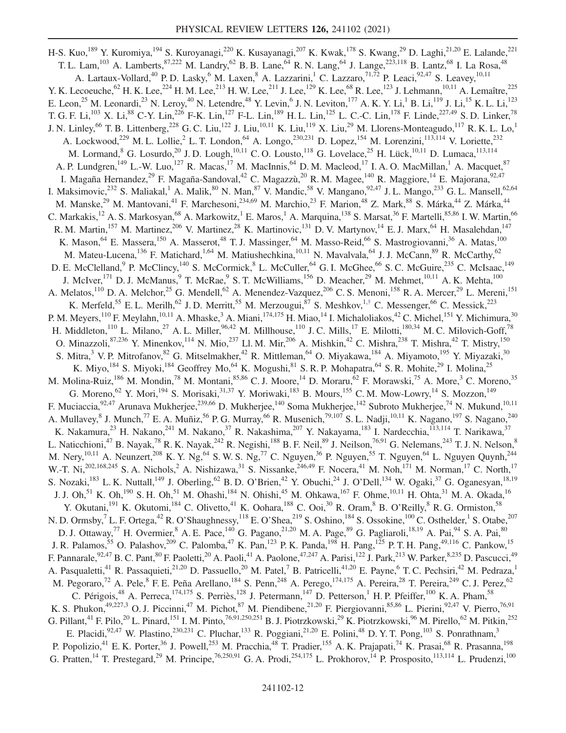<span id="page-11-0"></span>H-S. Kuo,<sup>189</sup> Y. Kuromiya,<sup>194</sup> S. Kuroyanagi,<sup>220</sup> K. Kusayanagi,<sup>207</sup> K. Kwak,<sup>178</sup> S. Kwang,<sup>29</sup> D. Laghi,<sup>21,20</sup> E. Lalande,<sup>221</sup> T. L. Lam,<sup>103</sup> A. Lamberts,  $87,222$  M. Landry,  $62$  B. B. Lane,  $64$  R. N. Lang,  $64$  J. Lange,  $223,118$  B. Lantz,  $68$  I. La Rosa,  $48$ A. Lartaux-Vollard,<sup>40</sup> P. D. Lasky,<sup>6</sup> M. Laxen,<sup>8</sup> A. Lazzarini,<sup>1</sup> C. Lazzaro,<sup>71,72</sup> P. Leaci,<sup>92,47</sup> S. Leavey,<sup>10,11</sup> Y. K. Lecoeuche,<sup>62</sup> H. K. Lee,<sup>224</sup> H. M. Lee,<sup>213</sup> H. W. Lee,<sup>211</sup> J. Lee,<sup>129</sup> K. Lee,<sup>68</sup> R. Lee,<sup>123</sup> J. Lehmann,<sup>10,11</sup> A. Lemaître,<sup>225</sup> E. Leon,<sup>25</sup> M. Leonardi,<sup>23</sup> N. Leroy,<sup>40</sup> N. Letendre,<sup>48</sup> Y. Levin,<sup>6</sup> J. N. Leviton,<sup>177</sup> A. K. Y. Li,<sup>1</sup> B. Li,<sup>119</sup> J. Li,<sup>15</sup> K. L. Li,<sup>123</sup> T. G. F. Li,<sup>103</sup> X. Li,<sup>88</sup> C-Y. Lin,<sup>226</sup> F-K. Lin,<sup>127</sup> F-L. Lin,<sup>189</sup> H. L. Lin,<sup>125</sup> L. C.-C. Lin,<sup>178</sup> F. Linde,<sup>227,49</sup> S. D. Linker,<sup>78</sup> J. N. Linley, <sup>66</sup> T. B. Littenberg, <sup>228</sup> G. C. Liu, <sup>122</sup> J. Liu, <sup>10,11</sup> K. Liu, <sup>119</sup> X. Liu, <sup>29</sup> M. Llorens-Monteagudo, <sup>117</sup> R. K. L. Lo, <sup>1</sup> A. Lockwood,<sup>229</sup> M. L. Lollie,<sup>2</sup> L. T. London,<sup>64</sup> A. Longo,<sup>230,231</sup> D. Lopez,<sup>154</sup> M. Lorenzini,<sup>113,114</sup> V. Loriette,<sup>232</sup> M. Lormand, $^8$  G. Losurdo, $^{20}$  J. D. Lough, $^{10,11}$  C. O. Lousto, $^{118}$  G. Lovelace, $^{25}$  H. Lück, $^{10,11}$  D. Lumaca, $^{113,114}$ A. P. Lundgren,<sup>149</sup> L.-W. Luo,<sup>127</sup> R. Macas,<sup>17</sup> M. MacInnis,<sup>64</sup> D. M. Macleod,<sup>17</sup> I. A. O. MacMillan,<sup>1</sup> A. Macquet,<sup>87</sup> I. Magaña Hernandez,<sup>29</sup> F. Magaña-Sandoval,<sup>42</sup> C. Magazzù,<sup>20</sup> R. M. Magee,<sup>140</sup> R. Maggiore,<sup>14</sup> E. Majorana,<sup>92,47</sup> I. Maksimovic,<sup>232</sup> S. Maliakal,<sup>1</sup> A. Malik,<sup>80</sup> N. Man,<sup>87</sup> V. Mandic,<sup>58</sup> V. Mangano,<sup>92,47</sup> J. L. Mango,<sup>233</sup> G. L. Mansell,<sup>62,64</sup> M. Manske,<sup>29</sup> M. Mantovani,<sup>41</sup> F. Marchesoni,<sup>234,69</sup> M. Marchio,<sup>23</sup> F. Marion,<sup>48</sup> Z. Mark,<sup>88</sup> S. Márka,<sup>44</sup> Z. Márka,<sup>44</sup> C. Markakis,<sup>12</sup> A. S. Markosyan,<sup>68</sup> A. Markowitz,<sup>1</sup> E. Maros,<sup>1</sup> A. Marquina,<sup>138</sup> S. Marsat,<sup>36</sup> F. Martelli,<sup>85,86</sup> I. W. Martin,<sup>66</sup> R. M. Martin,<sup>157</sup> M. Martinez,<sup>206</sup> V. Martinez,<sup>28</sup> K. Martinovic,<sup>131</sup> D. V. Martynov,<sup>14</sup> E. J. Marx,<sup>64</sup> H. Masalehdan,<sup>147</sup> K. Mason,<sup>64</sup> E. Massera,<sup>150</sup> A. Masserot,<sup>48</sup> T. J. Massinger,<sup>64</sup> M. Masso-Reid,<sup>66</sup> S. Mastrogiovanni,<sup>36</sup> A. Matas,<sup>100</sup> M. Mateu-Lucena, <sup>136</sup> F. Matichard, <sup>1,64</sup> M. Matiushechkina, <sup>10,11</sup> N. Mavalvala, <sup>64</sup> J. J. McCann, <sup>89</sup> R. McCarthy, <sup>62</sup> D. E. McClelland,<sup>9</sup> P. McClincy,<sup>140</sup> S. McCormick,<sup>8</sup> L. McCuller,<sup>64</sup> G. I. McGhee,<sup>66</sup> S. C. McGuire,<sup>235</sup> C. McIsaac,<sup>149</sup> J. McIver,<sup>171</sup> D. J. McManus,<sup>9</sup> T. McRae,<sup>9</sup> S. T. McWilliams,<sup>156</sup> D. Meacher,<sup>29</sup> M. Mehmet,<sup>10,11</sup> A. K. Mehta,<sup>100</sup> A. Melatos,<sup>110</sup> D. A. Melchor,<sup>25</sup> G. Mendell,<sup>62</sup> A. Menendez-Vazquez,<sup>206</sup> C. S. Menoni,<sup>158</sup> R. A. Mercer,<sup>29</sup> L. Mereni,<sup>151</sup> K. Merfeld,<sup>55</sup> E. L. Merilh,<sup>62</sup> J. D. Merritt,<sup>55</sup> M. Merzougui,<sup>87</sup> S. Meshkov,<sup>1,[†](#page-18-0)</sup> C. Messenger,<sup>66</sup> C. Messick,<sup>223</sup> P. M. Meyers,<sup>110</sup> F. Meylahn,<sup>10,11</sup> A. Mhaske,<sup>3</sup> A. Miani,<sup>174,175</sup> H. Miao,<sup>14</sup> I. Michaloliakos,<sup>42</sup> C. Michel,<sup>151</sup> Y. Michimura,<sup>30</sup> H. Middleton,<sup>110</sup> L. Milano,<sup>27</sup> A. L. Miller,<sup>96,42</sup> M. Millhouse,<sup>110</sup> J. C. Mills,<sup>17</sup> E. Milotti,<sup>180,34</sup> M. C. Milovich-Goff,<sup>78</sup> O. Minazzoli,  $87,236$  Y. Minenkov,  $114$  N. Mio,  $237$  Ll. M. Mir,  $206$  A. Mishkin,  $42$  C. Mishra,  $238$  T. Mishra,  $42$  T. Mistry,  $150$ S. Mitra,<sup>3</sup> V. P. Mitrofanov,<sup>82</sup> G. Mitselmakher,<sup>42</sup> R. Mittleman,<sup>64</sup> O. Miyakawa,<sup>184</sup> A. Miyamoto,<sup>195</sup> Y. Miyazaki,<sup>30</sup> K. Miyo,<sup>184</sup> S. Miyoki,<sup>184</sup> Geoffrey Mo,<sup>64</sup> K. Mogushi,<sup>81</sup> S. R. P. Mohapatra,<sup>64</sup> S. R. Mohite,<sup>29</sup> I. Molina,<sup>25</sup> M. Molina-Ruiz,<sup>186</sup> M. Mondin,<sup>78</sup> M. Montani,<sup>85,86</sup> C. J. Moore,<sup>14</sup> D. Moraru,<sup>62</sup> F. Morawski,<sup>75</sup> A. More,<sup>3</sup> C. Moreno,<sup>35</sup> G. Moreno, <sup>62</sup> Y. Mori, <sup>194</sup> S. Morisaki, <sup>31,37</sup> Y. Moriwaki, <sup>183</sup> B. Mours, <sup>155</sup> C. M. Mow-Lowry, <sup>14</sup> S. Mozzon, <sup>149</sup> F. Muciaccia, $^{92,47}$  Arunava Mukherjee, $^{239,66}$  D. Mukherjee, $^{140}$  Soma Mukherjee, $^{142}$  Subroto Mukherjee, $^{74}$  N. Mukund, $^{10,11}$ A. Mullavey, <sup>8</sup> J. Munch,<sup>77</sup> E. A. Muñiz, <sup>56</sup> P. G. Murray, <sup>66</sup> R. Musenich, <sup>79,107</sup> S. L. Nadji, <sup>10,11</sup> K. Nagano, <sup>197</sup> S. Nagano, <sup>240</sup> K. Nakamura,<sup>23</sup> H. Nakano,<sup>241</sup> M. Nakano,<sup>37</sup> R. Nakashima,<sup>207</sup> Y. Nakayama,<sup>183</sup> I. Nardecchia,<sup>113,114</sup> T. Narikawa,<sup>37</sup> L. Naticchioni,<sup>47</sup> B. Nayak,<sup>78</sup> R. K. Nayak,<sup>242</sup> R. Negishi,<sup>188</sup> B. F. Neil,<sup>89</sup> J. Neilson,<sup>76,91</sup> G. Nelemans,<sup>243</sup> T. J. N. Nelson,<sup>8</sup> M. Nery,<sup>10,11</sup> A. Neunzert,<sup>208</sup> K. Y. Ng,<sup>64</sup> S. W. S. Ng,<sup>77</sup> C. Nguyen,<sup>36</sup> P. Nguyen,<sup>55</sup> T. Nguyen,<sup>64</sup> L. Nguyen Quynh,<sup>244</sup> W.-T. Ni,<sup>202,168,245</sup> S. A. Nichols,<sup>2</sup> A. Nishizawa,<sup>31</sup> S. Nissanke,<sup>246,49</sup> F. Nocera,<sup>41</sup> M. Noh,<sup>171</sup> M. Norman,<sup>17</sup> C. North,<sup>17</sup> S. Nozaki,<sup>183</sup> L. K. Nuttall,<sup>149</sup> J. Oberling,<sup>62</sup> B. D. O'Brien,<sup>42</sup> Y. Obuchi,<sup>24</sup> J. O'Dell,<sup>134</sup> W. Ogaki,<sup>37</sup> G. Oganesyan,<sup>18,19</sup> J. J. Oh,<sup>51</sup> K. Oh,<sup>190</sup> S. H. Oh,<sup>51</sup> M. Ohashi,<sup>184</sup> N. Ohishi,<sup>45</sup> M. Ohkawa,<sup>167</sup> F. Ohme,<sup>10,11</sup> H. Ohta,<sup>31</sup> M. A. Okada,<sup>16</sup> Y. Okutani,<sup>191</sup> K. Okutomi,<sup>184</sup> C. Olivetto,<sup>41</sup> K. Oohara,<sup>188</sup> C. Ooi,<sup>30</sup> R. Oram,<sup>8</sup> B. O'Reilly,<sup>8</sup> R. G. Ormiston,<sup>58</sup> N. D. Ormsby,  $^7$  L. F. Ortega, $^{42}$  R. O'Shaughnessy, $^{118}$  E. O'Shea, $^{219}$  S. Oshino, $^{184}$  S. Ossokine, $^{100}$  C. Osthelder, $^1$  S. Otabe, $^{207}$ D. J. Ottaway,<sup>77</sup> H. Overmier, <sup>8</sup> A. E. Pace, <sup>140</sup> G. Pagano, <sup>21,20</sup> M. A. Page, <sup>89</sup> G. Pagliaroli, <sup>18,19</sup> A. Pai, <sup>94</sup> S. A. Pai, <sup>80</sup> J. R. Palamos,<sup>55</sup> O. Palashov,<sup>209</sup> C. Palomba,<sup>47</sup> K. Pan,<sup>123</sup> P. K. Panda,<sup>198</sup> H. Pang,<sup>125</sup> P. T. H. Pang,<sup>49,116</sup> C. Pankow,<sup>15</sup> F. Pannarale,<sup>92,47</sup> B. C. Pant,<sup>80</sup> F. Paoletti,<sup>20</sup> A. Paoli,<sup>41</sup> A. Paolone,<sup>47,247</sup> A. Parisi,<sup>122</sup> J. Park,<sup>213</sup> W. Parker,<sup>8,235</sup> D. Pascucci,<sup>49</sup> A. Pasqualetti,<sup>41</sup> R. Passaquieti,<sup>21,20</sup> D. Passuello,<sup>20</sup> M. Patel,<sup>7</sup> B. Patricelli,<sup>41,20</sup> E. Payne,<sup>6</sup> T. C. Pechsiri,<sup>42</sup> M. Pedraza,<sup>1</sup> M. Pegoraro,<sup>72</sup> A. Pele, <sup>8</sup> F. E. Peña Arellano, <sup>184</sup> S. Penn, <sup>248</sup> A. Perego, <sup>174,175</sup> A. Pereira, <sup>28</sup> T. Pereira, <sup>249</sup> C. J. Perez, <sup>62</sup> C. Périgois,<sup>48</sup> A. Perreca,<sup>174,175</sup> S. Perriès,<sup>128</sup> J. Petermann,<sup>147</sup> D. Petterson,<sup>1</sup> H. P. Pfeiffer,<sup>100</sup> K. A. Pham,<sup>58</sup> K. S. Phukon,<sup>49,227,3</sup> O. J. Piccinni,<sup>47</sup> M. Pichot,<sup>87</sup> M. Piendibene,<sup>21,20</sup> F. Piergiovanni,<sup>85,86</sup> L. Pierini,<sup>92,47</sup> V. Pierro,<sup>76,91</sup> G. Pillant,<sup>41</sup> F. Pilo,<sup>20</sup> L. Pinard,<sup>151</sup> I. M. Pinto,<sup>76,91,250,251</sup> B. J. Piotrzkowski,<sup>29</sup> K. Piotrzkowski,<sup>96</sup> M. Pirello,<sup>62</sup> M. Pitkin,<sup>252</sup> E. Placidi,<sup>92,47</sup> W. Plastino,<sup>230,231</sup> C. Pluchar,<sup>133</sup> R. Poggiani,<sup>21,20</sup> E. Polini,<sup>48</sup> D. Y. T. Pong,<sup>103</sup> S. Ponrathnam,<sup>3</sup> P. Popolizio,<sup>41</sup> E.K. Porter,<sup>36</sup> J. Powell,<sup>253</sup> M. Pracchia,<sup>48</sup> T. Pradier,<sup>155</sup> A.K. Prajapati,<sup>74</sup> K. Prasai,<sup>68</sup> R. Prasanna,<sup>198</sup> G. Pratten,<sup>14</sup> T. Prestegard,<sup>29</sup> M. Principe,<sup>76,250,91</sup> G. A. Prodi,<sup>254,175</sup> L. Prokhorov,<sup>14</sup> P. Prosposito,<sup>113,114</sup> L. Prudenzi,<sup>100</sup>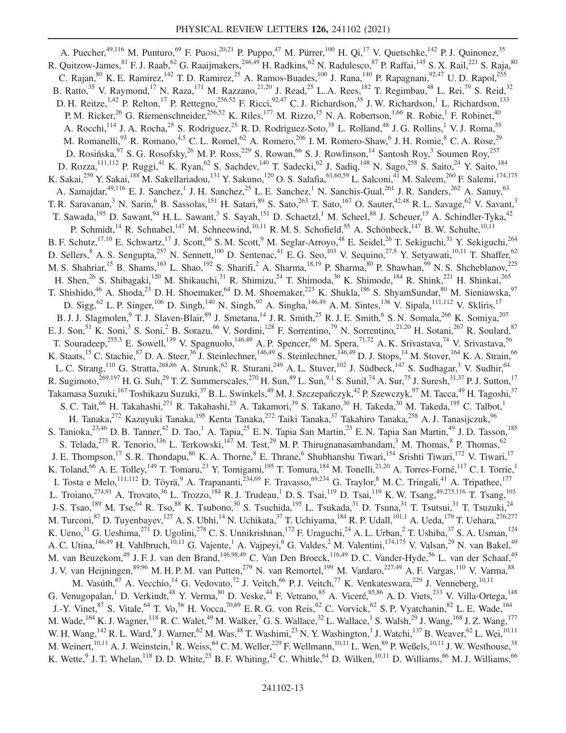A. Puecher,<sup>49,116</sup> M. Punturo,<sup>69</sup> F. Puosi,<sup>20,21</sup> P. Puppo,<sup>47</sup> M. Pürrer,<sup>100</sup> H. Qi,<sup>17</sup> V. Quetschke,<sup>142</sup> P. J. Quinonez,<sup>35</sup> R. Quitzow-James, <sup>81</sup> F. J. Raab, <sup>62</sup> G. Raaijmakers, <sup>246,49</sup> H. Radkins, <sup>62</sup> N. Radulesco, <sup>87</sup> P. Raffai, <sup>145</sup> S. X. Rail, <sup>221</sup> S. Raja, <sup>80</sup> C. Rajan,  $80$  K. E. Ramirez,  $142$  T. D. Ramirez,  $25$  A. Ramos-Buades,  $100$  J. Rana,  $140$  P. Rapagnani,  $92,47$  U. D. Rapol,  $255$ B. Ratto,<sup>35</sup> V. Raymond,<sup>17</sup> N. Raza,<sup>171</sup> M. Razzano,<sup>21,20</sup> J. Read,<sup>25</sup> L. A. Rees,<sup>182</sup> T. Regimbau,<sup>48</sup> L. Rei,<sup>79</sup> S. Reid,<sup>32</sup> D. H. Reitze,<sup>1,42</sup> P. Relton,<sup>17</sup> P. Rettegno,<sup>256,52</sup> F. Ricci,<sup>92,47</sup> C. J. Richardson,<sup>35</sup> J. W. Richardson,<sup>1</sup> L. Richardson,<sup>133</sup> P. M. Ricker,<sup>26</sup> G. Riemenschneider,<sup>256,52</sup> K. Riles,<sup>177</sup> M. Rizzo,<sup>15</sup> N. A. Robertson,<sup>1,66</sup> R. Robie,<sup>1</sup> F. Robinet,<sup>40</sup> A. Rocchi,<sup>114</sup> J. A. Rocha,<sup>25</sup> S. Rodriguez,<sup>25</sup> R. D. Rodriguez-Soto,<sup>35</sup> L. Rolland,<sup>48</sup> J. G. Rollins,<sup>1</sup> V. J. Roma,<sup>55</sup> M. Romanelli,<sup>93</sup> R. Romano,<sup>4,5</sup> C. L. Romel,<sup>62</sup> A. Romero,<sup>206</sup> I. M. Romero-Shaw,<sup>6</sup> J. H. Romie, <sup>8</sup> C. A. Rose,<sup>29</sup> D. Rosińska,<sup>97</sup> S. G. Rosofsky,<sup>26</sup> M. P. Ross,<sup>229</sup> S. Rowan,<sup>66</sup> S. J. Rowlinson,<sup>14</sup> Santosh Roy,<sup>3</sup> Soumen Roy,<sup>257</sup> D. Rozza,<sup>111,112</sup> P. Ruggi,<sup>41</sup> K. Ryan,<sup>62</sup> S. Sachdev,<sup>140</sup> T. Sadecki,<sup>62</sup> J. Sadiq,<sup>148</sup> N. Sago,<sup>258</sup> S. Saito,<sup>24</sup> Y. Saito,<sup>184</sup> K. Sakai,<sup>259</sup> Y. Sakai,<sup>188</sup> M. Sakellariadou,<sup>131</sup> Y. Sakuno,<sup>120</sup> O. S. Salafia,<sup>61,60,59</sup> L. Salconi,<sup>41</sup> M. Saleem,<sup>260</sup> F. Salemi,<sup>174,175</sup> A. Samajdar,<sup>49,116</sup> E. J. Sanchez,<sup>1</sup> J. H. Sanchez,<sup>25</sup> L. E. Sanchez,<sup>1</sup> N. Sanchis-Gual,<sup>261</sup> J. R. Sanders,<sup>262</sup> A. Sanuy,<sup>63</sup> T. R. Saravanan,<sup>3</sup> N. Sarin,<sup>6</sup> B. Sassolas,<sup>151</sup> H. Satari,<sup>89</sup> S. Sato,<sup>263</sup> T. Sato,<sup>167</sup> O. Sauter,<sup>42,48</sup> R. L. Savage,<sup>62</sup> V. Savant,<sup>3</sup> T. Sawada,<sup>195</sup> D. Sawant,<sup>94</sup> H. L. Sawant,<sup>3</sup> S. Sayah,<sup>151</sup> D. Schaetzl,<sup>1</sup> M. Scheel,<sup>88</sup> J. Scheuer,<sup>15</sup> A. Schindler-Tyka,<sup>42</sup> P. Schmidt,<sup>14</sup> R. Schnabel,<sup>147</sup> M. Schneewind,<sup>10,11</sup> R. M. S. Schofield,<sup>55</sup> A. Schönbeck,<sup>147</sup> B. W. Schulte,<sup>10,11</sup> B. F. Schutz,<sup>17,10</sup> E. Schwartz,<sup>17</sup> J. Scott,<sup>66</sup> S. M. Scott,<sup>9</sup> M. Seglar-Arroyo,<sup>48</sup> E. Seidel,<sup>26</sup> T. Sekiguchi,<sup>31</sup> Y. Sekiguchi,<sup>264</sup> D. Sellers,  $A$ , S. Sengupta,<sup>257</sup> N. Sennett,<sup>100</sup> D. Sentenac,<sup>41</sup> E. G. Seo,<sup>103</sup> V. Sequino,<sup>27,5</sup> Y. Setyawati,<sup>10,11</sup> T. Shaffer,<sup>62</sup> M. S. Shahriar,<sup>15</sup> B. Shams,<sup>163</sup> L. Shao,<sup>192</sup> S. Sharifi,<sup>2</sup> A. Sharma,<sup>18,19</sup> P. Sharma,<sup>80</sup> P. Shawhan,<sup>99</sup> N. S. Shcheblanov,<sup>225</sup> H. Shen,<sup>26</sup> S. Shibagaki,<sup>120</sup> M. Shikauchi,<sup>31</sup> R. Shimizu,<sup>24</sup> T. Shimoda,<sup>30</sup> K. Shimode,<sup>184</sup> R. Shink,<sup>221</sup> H. Shinkai,<sup>265</sup> T. Shishido,<sup>46</sup> A. Shoda,<sup>23</sup> D. H. Shoemaker,<sup>64</sup> D. M. Shoemaker,<sup>223</sup> K. Shukla,<sup>186</sup> S. ShyamSundar,<sup>80</sup> M. Sieniawska,<sup>97</sup> D. Sigg,<sup>62</sup> L. P. Singer,<sup>106</sup> D. Singh,<sup>140</sup> N. Singh,<sup>97</sup> A. Singha,<sup>146,49</sup> A. M. Sintes,<sup>136</sup> V. Sipala,<sup>111,112</sup> V. Skliris,<sup>17</sup> B. J. J. Slagmolen,<sup>9</sup> T. J. Slaven-Blair,<sup>89</sup> J. Smetana,<sup>14</sup> J. R. Smith,<sup>25</sup> R. J. E. Smith,<sup>6</sup> S. N. Somala,<sup>266</sup> K. Somiya,<sup>207</sup> E. J. Son,<sup>51</sup> K. Soni,<sup>3</sup> S. Soni,<sup>2</sup> B. Sorazu,<sup>66</sup> V. Sordini,<sup>128</sup> F. Sorrentino,<sup>79</sup> N. Sorrentino,<sup>21,20</sup> H. Sotani,<sup>267</sup> R. Soulard,<sup>87</sup> T. Souradeep,  $^{255,3}$  E. Sowell,  $^{139}$  V. Spagnuolo,  $^{146,49}$  A. P. Spencer,  $^{66}$  M. Spera,  $^{71,72}$  A. K. Srivastava,  $^{74}$  V. Srivastava,  $^{56}$ K. Staats, <sup>15</sup> C. Stachie, <sup>87</sup> D. A. Steer, <sup>36</sup> J. Steinlechner, <sup>146,49</sup> S. Steinlechner, <sup>146,49</sup> D. J. Stops, <sup>14</sup> M. Stover, <sup>164</sup> K. A. Strain, <sup>66</sup> L. C. Strang,<sup>110</sup> G. Stratta,<sup>268,86</sup> A. Strunk,<sup>62</sup> R. Sturani,<sup>249</sup> A. L. Stuver,<sup>102</sup> J. Südbeck,<sup>147</sup> S. Sudhagar,<sup>3</sup> V. Sudhir,<sup>64</sup> R. Sugimoto,<sup>269,197</sup> H. G. Suh,<sup>29</sup> T. Z. Summerscales,<sup>270</sup> H. Sun,<sup>89</sup> L. Sun,<sup>9,1</sup> S. Sunil,<sup>74</sup> A. Sur,<sup>75</sup> J. Suresh,<sup>31,37</sup> P. J. Sutton,<sup>17</sup> Takamasa Suzuki,<sup>167</sup> Toshikazu Suzuki,<sup>37</sup> B. L. Swinkels,<sup>49</sup> M. J. Szczepańczyk,<sup>42</sup> P. Szewczyk,<sup>97</sup> M. Tacca,<sup>49</sup> H. Tagoshi,<sup>37</sup> S. C. Tait,<sup>66</sup> H. Takahashi,<sup>271</sup> R. Takahashi,<sup>23</sup> A. Takamori,<sup>39</sup> S. Takano,<sup>30</sup> H. Takeda,<sup>30</sup> M. Takeda,<sup>195</sup> C. Talbot,<sup>1</sup> H. Tanaka,<sup>272</sup> Kazuyuki Tanaka,<sup>195</sup> Kenta Tanaka,<sup>272</sup> Taiki Tanaka,<sup>37</sup> Takahiro Tanaka,<sup>258</sup> A.J. Tanasijczuk,<sup>96</sup> S. Tanioka,  $23,46$  D. B. Tanner,  $42$  D. Tao, <sup>1</sup> A. Tapia,  $25$  E. N. Tapia San Martin,  $23$  E. N. Tapia San Martin,  $49$  J. D. Tasson,  $185$ S. Telada,<sup>273</sup> R. Tenorio,<sup>136</sup> L. Terkowski,<sup>147</sup> M. Test,<sup>29</sup> M. P. Thirugnanasambandam,<sup>3</sup> M. Thomas,<sup>8</sup> P. Thomas,<sup>62</sup> J. E. Thompson,<sup>17</sup> S. R. Thondapu,<sup>80</sup> K. A. Thorne,<sup>8</sup> E. Thrane,<sup>6</sup> Shubhanshu Tiwari,<sup>154</sup> Srishti Tiwari,<sup>172</sup> V. Tiwari,<sup>17</sup> K. Toland,  $66$  A. E. Tolley,  $^{149}$  T. Tomaru,  $^{23}$  Y. Tomigami,  $^{195}$  T. Tomura,  $^{184}$  M. Tonelli,  $^{21,20}$  A. Torres-Forné,  $^{117}$  C. I. Torrie,  $^{11}$ I. Tosta e Melo,<sup>111,112</sup> D. Töyrä, <sup>9</sup> A. Trapananti,<sup>234,69</sup> F. Travasso,<sup>69,234</sup> G. Traylor, <sup>8</sup> M. C. Tringali,<sup>41</sup> A. Tripathee,<sup>177</sup> L. Troiano,<sup>274,91</sup> A. Trovato,<sup>36</sup> L. Trozzo,<sup>184</sup> R. J. Trudeau,<sup>1</sup> D. S. Tsai,<sup>119</sup> D. Tsai,<sup>119</sup> K. W. Tsang,<sup>49,275,116</sup> T. Tsang,<sup>103</sup> J-S. Tsao,<sup>189</sup> M. Tse,<sup>64</sup> R. Tso,<sup>88</sup> K. Tsubono,<sup>30</sup> S. Tsuchida,<sup>195</sup> L. Tsukada,<sup>31</sup> D. Tsuna,<sup>31</sup> T. Tsutsui,<sup>31</sup> T. Tsuzuki,<sup>24</sup> M. Turconi,  ${}^{87}$  D. Tuyenbayev,  ${}^{127}$  A. S. Ubhi,  ${}^{14}$  N. Uchikata,  ${}^{37}$  T. Uchiyama,  ${}^{184}$  R. P. Udall,  ${}^{101,1}$  A. Ueda,  ${}^{179}$  T. Uehara,  ${}^{276,277}$ K. Ueno,  $31$  G. Ueshima,  $271$  D. Ugolini,  $278$  C. S. Unnikrishnan,  $172$  F. Uraguchi,  $24$  A. L. Urban,  $2$  T. Ushiba,  $37$  S. A. Usman,  $124$ A. C. Utina, <sup>146,49</sup> H. Vahlbruch, <sup>10,11</sup> G. Vajente,<sup>1</sup> A. Vajpeyi,<sup>6</sup> G. Valdes,<sup>2</sup> M. Valentini,<sup>174,175</sup> V. Valsan,<sup>29</sup> N. van Bakel,<sup>49</sup> M. van Beuzekom,<sup>49</sup> J. F. J. van den Brand,<sup>146,98,49</sup> C. Van Den Broeck,<sup>116,49</sup> D. C. Vander-Hyde,<sup>56</sup> L. van der Schaaf,<sup>49</sup> J. V. van Heijningen, 89,96 M. H. P. M. van Putten, <sup>279</sup> N. van Remortel, <sup>199</sup> M. Vardaro, <sup>227,49</sup> A. F. Vargas, <sup>110</sup> V. Varma, 88 M. Vasúth,<sup>67</sup> A. Vecchio,<sup>14</sup> G. Vedovato,<sup>72</sup> J. Veitch,<sup>66</sup> P. J. Veitch,<sup>77</sup> K. Venkateswara,<sup>229</sup> J. Venneberg,<sup>10,11</sup> G. Venugopalan, <sup>1</sup> D. Verkindt, <sup>48</sup> Y. Verma, <sup>80</sup> D. Veske, <sup>44</sup> F. Vetrano, <sup>85</sup> A. Viceré, <sup>85,86</sup> A. D. Viets, <sup>233</sup> V. Villa-Ortega, <sup>148</sup> J.-Y. Vinet,  $87$  S. Vitale,  $64$  T. Vo,  $56$  H. Vocca,  $70,69$  E. R. G. von Reis,  $62$  C. Vorvick,  $62$  S. P. Vyatchanin,  $82$  L. E. Wade,  $164$ M. Wade,  $^{164}$  K. J. Wagner,  $^{118}$  R. C. Walet,  $^{49}$  M. Walker,  $^7$  G. S. Wallace,  $^{32}$  L. Wallace,  $^1$  S. Walsh,  $^{29}$  J. Wang,  $^{168}$  J. Z. Wang,  $^{177}$ W. H. Wang,<sup>142</sup> R. L. Ward,<sup>9</sup> J. Warner,<sup>62</sup> M. Was,<sup>48</sup> T. Washimi,<sup>23</sup> N. Y. Washington,<sup>1</sup> J. Watchi,<sup>137</sup> B. Weaver,<sup>62</sup> L. Wei,<sup>10,11</sup> M. Weinert,<sup>10,11</sup> A. J. Weinstein,<sup>1</sup> R. Weiss,<sup>64</sup> C. M. Weller,<sup>229</sup> F. Wellmann,<sup>10,11</sup> L. Wen,<sup>89</sup> P. Weßels,<sup>10,11</sup> J. W. Westhouse,<sup>35</sup> K. Wette, <sup>9</sup> J. T. Whelan, <sup>118</sup> D. D. White, <sup>25</sup> B. F. Whiting, <sup>42</sup> C. Whittle, <sup>64</sup> D. Wilken, <sup>10,11</sup> D. Williams, <sup>66</sup> M. J. Williams, <sup>66</sup>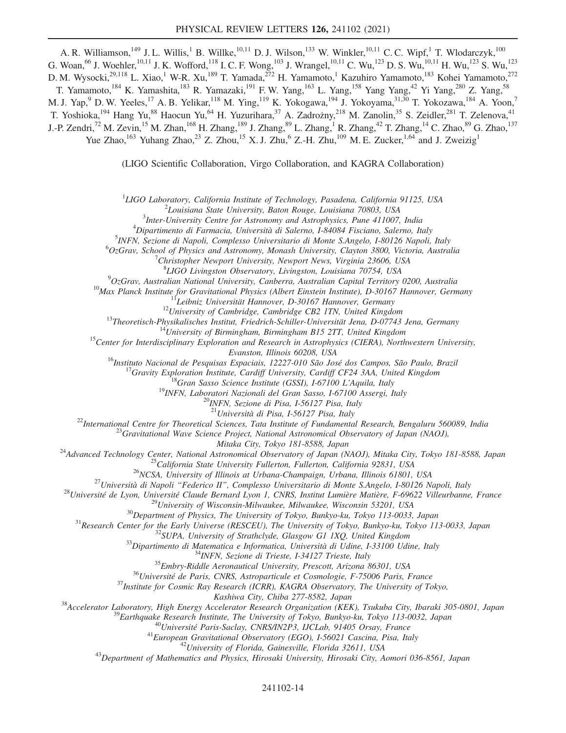A. R. Williamson,<sup>149</sup> J. L. Willis,<sup>1</sup> B. Willke,<sup>10,11</sup> D. J. Wilson,<sup>133</sup> W. Winkler,<sup>10,11</sup> C. C. Wipf,<sup>1</sup> T. Wlodarczyk,<sup>100</sup> G. Woan, <sup>66</sup> J. Woehler, <sup>10,11</sup> J. K. Wofford, <sup>118</sup> I. C. F. Wong, <sup>103</sup> J. Wrangel, <sup>10,11</sup> C. Wu, <sup>123</sup> D. S. Wu, <sup>10,11</sup> H. Wu, <sup>123</sup> S. Wu, <sup>123</sup> D. M. Wysocki,<sup>29,118</sup> L. Xiao,<sup>1</sup> W-R. Xu,<sup>189</sup> T. Yamada,<sup>272</sup> H. Yamamoto,<sup>1</sup> Kazuhiro Yamamoto,<sup>183</sup> Kohei Yamamoto,<sup>272</sup> T. Yamamoto,<sup>184</sup> K. Yamashita,<sup>183</sup> R. Yamazaki,<sup>191</sup> F.W. Yang,<sup>163</sup> L. Yang,<sup>158</sup> Yang Yang,<sup>42</sup> Yi Yang,<sup>280</sup> Z. Yang,<sup>58</sup> M. J. Yap,  $9$  D. W. Yeeles,  $^{17}$  A. B. Yelikar,  $^{118}$  M. Ying,  $^{119}$  K. Yokogawa,  $^{194}$  J. Yokoyama,  $^{31,30}$  T. Yokozawa,  $^{184}$  A. Yoon,  $^7$ T. Yoshioka, <sup>194</sup> Hang Yu, <sup>88</sup> Haocun Yu, <sup>64</sup> H. Yuzurihara, <sup>37</sup> A. Zadrożny, <sup>218</sup> M. Zanolin, <sup>35</sup> S. Zeidler, <sup>281</sup> T. Zelenova, <sup>41</sup> J.-P. Zendri,<sup>72</sup> M. Zevin,<sup>15</sup> M. Zhan,<sup>168</sup> H. Zhang,<sup>189</sup> J. Zhang,<sup>89</sup> L. Zhang,<sup>1</sup> R. Zhang,<sup>42</sup> T. Zhang,<sup>14</sup> C. Zhao,<sup>89</sup> G. Zhao,<sup>137</sup> Yue Zhao,<sup>163</sup> Yuhang Zhao,<sup>23</sup> Z. Zhou,<sup>15</sup> X. J. Zhu,<sup>6</sup> Z.-H. Zhu,<sup>109</sup> M. E. Zucker,<sup>1,64</sup> and J. Zweizig<sup>1</sup>

(LIGO Scientific Collaboration, Virgo Collaboration, and KAGRA Collaboration)

<sup>1</sup>LIGO Laboratory, California Institute of Technology, Pasadena, California 91125, USA<br> $\frac{2}{1}$ Caussiana State University, Paten Pouce, Louisiana 70803, USA

 $2$ Louisiana State University, Baton Rouge, Louisiana 70803, USA

 $3$ Inter-University Centre for Astronomy and Astrophysics, Pune 411007, India

 $^4$ Dipartimento di Farmacia, Università di Salerno, I-84084 Fisciano, Salerno, Italy

<sup>5</sup>INFN, Sezione di Napoli, Complesso Universitario di Monte S.Angelo, I-80126 Napoli, Italy

 ${}^{6}Oz$ Grav, School of Physics and Astronomy, Monash University, Clayton 3800, Victoria, Australia

 $^{7}$ Christopher Newport University, Newport News, Virginia 23606, USA

<sup>8</sup>LIGO Livingston Observatory, Livingston, Louisiana 70754, USA

 ${}^{9}Oz$ Grav, Australian National University, Canberra, Australian Capital Territory 0200, Australia

<sup>10</sup>Max Planck Institute for Gravitational Physics (Albert Einstein Institute), D-30167 Hannover, Germany<br><sup>11</sup>Leibniz Universität Hannover, D-30167 Hannover, Germany<br><sup>12</sup>University of Cambridge, Cambridge CB2 1TN, United

<sup>16</sup>Instituto Nacional de Pesquisas Espaciais, 12227-010 São José dos Campos, São Paulo, Brazil<br><sup>17</sup>Gravity Exploration Institute, Cardiff University, Cardiff CF24 3AA, United Kingdom<br><sup>18</sup>Gran Sasso Science Institute (GSS

 $^{22}$ International Centre for Theoretical Sciences, Tata Institute of Fundamental Research, Bengaluru 560089, India<br> $^{23}$ Gravitational Wave Science Project, National Astronomical Observatory of Japan (NAOJ),

 $\begin{array}{c} \textit{Mitaka City, Tokyo 181-8588, Japan} \\ \textit{24}.\ \textit{Advanced Technology Center, National Astronomical Observatory of Japan} \\ \textit{25}\ \textit{California State University} \ \textit{Fullerton, California 92831, USA} \\ \textit{26}\ \textit{NCSA, University of Illinois at Urbana-Champaign, Urban, Illinois 61801, USA} \\ \textit{27}\ \textit{University of Illinois at Urbana-Champaign, Urban, Illinois 61801, USA} \\ \textit{28}\ \textit{University of Illinois at Urbana-Champaign, Urban, Illinois 61801, USA} \\ \textit{28}\ \textit{University of University of Illinois at Urbana-Ch$ 

<sup>38</sup>Accelerator Laboratory, High Energy Accelerator Research Organization (KEK), Tsukuba City, Ibaraki 305-0801, Japan<br><sup>39</sup>Earthquake Research Institute, The University of Tokyo, Bunkyo-ku, Tokyo 113-0032, Japan<br><sup>40</sup>Univer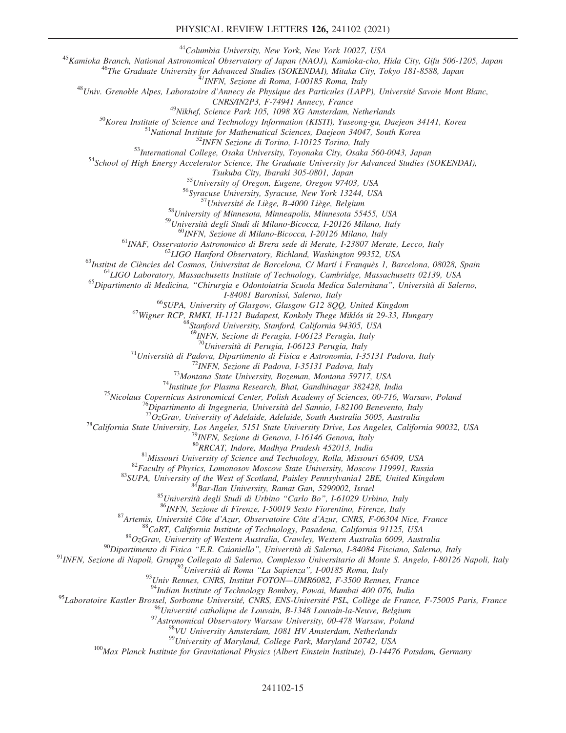<sup>44</sup>Columbia University, New York, New York 10027, USA<br><sup>45</sup>Kamioka Branch, National Astronomical Observatory of Japan (NAOJ), Kamioka-cho, Hida City, Gifu 506-1205, Japan<br><sup>46</sup>The Graduate University for Advanced Studies (

 $Nikhef$ , Science Park 105, 1098 XG Amsterdam, Netherlands<br><sup>49</sup>Nikhef, Science Park 105, 1098 XG Amsterdam, Netherlands<br><sup>50</sup>Korea Institute of Science and Technology Information (KISTI), Yuseong-gu, Daejeon 34141, Korea<br><sup>51</sup>

Tsukuba City, Ibaraki 305-0801, Japan<br><sup>55</sup>University of Oregon, Eugene, Oregon 97403, USA<br><sup>56</sup>Syracuse University, Syracuse, New York 13244, USA<br><sup>57</sup>Université de Liège, B-4000 Liège, Belgium<br><sup>58</sup>University of Minnesota, M

<sup>61</sup>INAF, Osservatorio Astronomico di Brera sede di Merate, I-23807 Merate, Lecco, Italy<br><sup>61</sup>INAF, Osservatorio Astronomico di Brera sede di Merate, I-23807 Merate, Lecco, Italy<br><sup>62</sup>IIGO Hanford Observatory, Richland, Was

I-84081 Baronissi, Salerno, Italy<br><sup>66</sup>SUPA, University of Glasgow, Glasgow G12 8QQ, United Kingdom<br><sup>67</sup>Wigner RCP, RMKI, H-1121 Budapest, Konkoly Thege Miklós út 29-33, Hungary<br><sup>68</sup>Stanford University, Stanford, California

<sup>69</sup>INFN, Sezione di Perugia, I-06123 Perugia, Italy<br><sup>70</sup>Università di Perugia, I-06123 Perugia, Italy

<sup>71</sup>Università di Padova, Dipartimento di Fisica e Astronomia, I-35131 Padova, Italy<br><sup>72</sup>INFN, Sezione di Padova, I-35131 Padova, Italy<br><sup>73</sup>Montana State University, Bozeman, Montana 59717, USA<br><sup>74</sup>Institute for Plasma Re

 $\begin{array}{r} \begin{array}{c} \begin{array}{c} \end{array}{c} \end{array} \begin{array}{c} \begin{array}{c} \end{array}{c} \end{array} \begin{array}{c} \end{array} \begin{array}{c} \end{array} \begin{array}{c} \end{array} \begin{array}{c} \end{array} \begin{array}{c} \end{array} \begin{array}{c} \end{array} \begin{array}{c} \end{array} \begin{array}{c} \end{array} \begin{array}{c} \end{array} \begin{array}{c} \end{array} \begin{array}{c} \end{array} \begin{array}{c} \end{array} \begin{array}{c} \end{array} \begin{array}{$ 

<sup>94</sup>Indian Institute of Technology Bombay, Powai, Mumbai 400 076, India<br><sup>95</sup>Laboratoire Kastler Brossel, Sorbonne Université, CNRS, ENS-Université PSL, Collège de France, F-75005 Paris, France<br><sup>96</sup>Université catholique de

<sup>97</sup> Astronomical Observatory Warsaw University, 00-478 Warsaw, Poland<br><sup>98</sup>VU University Amsterdam, 1081 HV Amsterdam, Netherlands <sup>99</sup>University of Maryland, College Park, Maryland 20742, USA

 $100$ Max Planck Institute for Gravitational Physics (Albert Einstein Institute), D-14476 Potsdam, Germany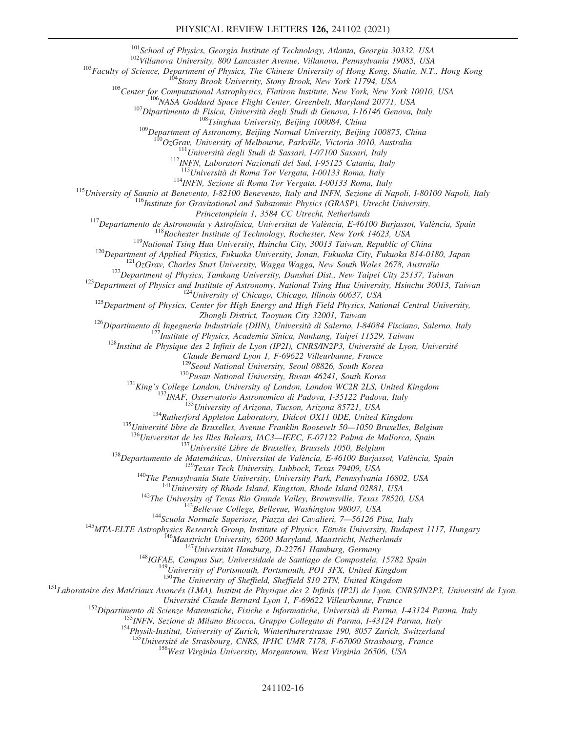<sup>101</sup>School of Physics, Georgia Institute of Technology, Atlanta, Georgia 30332, USA<br><sup>102</sup>Villanova University, 800 Lancaster Avenue, Villanova, Pennsylvania 19085, USA<br><sup>103</sup>Faculty of Science, Department of Physics, The

<sup>110</sup>OzGrav, University of Melbourne, Parkville, Victoria 3010, Australia <sup>111</sup>Università degli Studi di Sassari, I-07100 Sassari, Italy <sup>112</sup>INFN, Laboratori Nazionali del Sud, I-95125 Catania, Italy <sup>113</sup>Università di R

<sup>114</sup>INFN, Sezione di Roma Tor Vergata, I-00133 Roma, Italy<br><sup>115</sup>University of Sannio at Benevento, I-82100 Benevento, Italy and INFN, Sezione di Napoli, I-80100 Napoli, Italy<br><sup>116</sup>Institute for Gravitational and Subatomi

<sup>117</sup>Departamento de Astronomía y Astrofísica, Universitat de València, E-46100 Burjassot, València, Spain<br><sup>118</sup>Rochester Institute of Technology, Rochester, New York 14623, USA<br><sup>119</sup>National Tsing Hua University, Hsinchu

Zhongli District, Taoyuan City 32001, Taiwan<br><sup>126</sup>Dipartimento di Ingegneria Industriale (DIIN), Università di Salerno, I-84084 Fisciano, Salerno, Italy<br><sup>128</sup>Institute of Physics, Academia Sinica, Nankang, Taipei 11529, Ta

Claude Bernard Lyon 1, F-69622 Villeurbanne, France  $129$  Seoul National University, Seoul 08826, South Korea

<sup>130</sup>Pusan National University, Busan 46241, South Korea<br><sup>131</sup>King's College London, University of London, London WC2R 2LS, United Kingdom<br><sup>132</sup>INAF, Osservatorio Astronomico di Padova, I-35122 Padova, Italy<br><sup>133</sup>Universi

 $\begin{small} & \text{133} \text{IMAF}, \text{Osservatorio Astronomico di Padova, 1-35122 Padova, Italy} \\ & \text{135} \text{University of Ariconz, Tucson, Arizon 85721, USA} \\ & \text{138} \text{University of Arperion, Dies, Univexilis} \\ & \text{139} \text{Université libre de Bruxelles, Avenue Franklin Roosevelt 50—1050 Bruxelles, Belgium} \\ & \text{130} \text{Universitat de les Illes Balears, IAC3—IEEE, E-07122 Palma de Mallorca, Spain} \\ & \text{131} \text{S} \text{Dipiversitat de lles Blaears, IAC3—IEEE,$ 

<sup>150</sup>The University of Sheffield, Sheffield S10 2TN, United Kingdom<br><sup>151</sup>Laboratoire des Matériaux Avancés (LMA), Institut de Physique des 2 Infinis (IP2I) de Lyon, CNRS/IN2P3, Université de Lyon,<br>Université Claude Bernar

<sup>152</sup>Dipartimento di Scienze Matematiche, Fisiche e Informatiche, Università di Parma, I-43124 Parma, Italy<br><sup>153</sup>INFN, Sezione di Milano Bicocca, Gruppo Collegato di Parma, I-43124 Parma, Italy<br><sup>154</sup>Physik-Institut, Unive

<sup>155</sup>Université de Strasbourg, CNRS, IPHC UMR 7178, F-67000 Strasbourg, France 156West Virginia University, Morgantown, West Virginia 26506, USA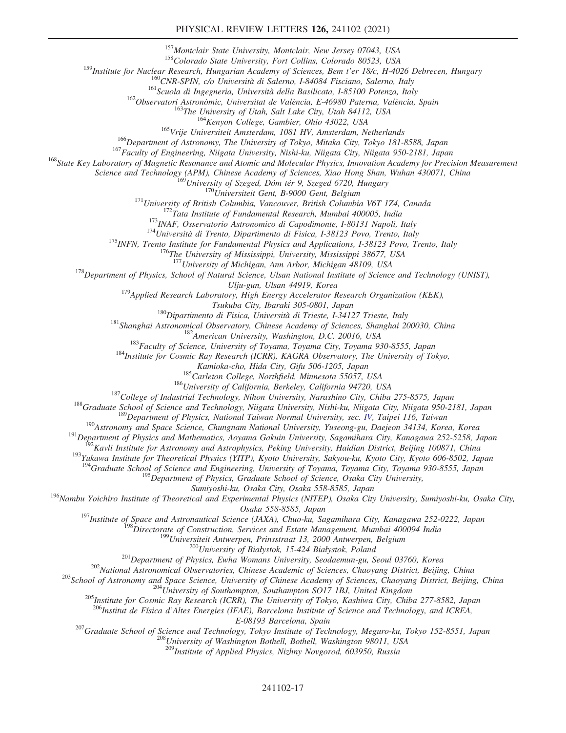## PHYSICAL REVIEW LETTERS 126, 241102 (2021)

<sup>157</sup>Montclair State University, Montclair, New Jersey 07043, USA<br><sup>158</sup>Colorado State University, Fort Collins, Colorado 80523, USA<br><sup>159</sup>Institute for Nuclear Research, Hungarian Academy of Sciences, Bem t'er 18/c, H-4026

 $^{160}$ CNR-SPIN, c/o Università di Salerno, I-84084 Fisciano, Salerno, Italy<br>  $^{161}$ Scuola di Ingegneria, Università della Basilicata, I-85100 Potenza, Italy<br>  $^{162}$ Observatori Astronòmic, Universitat de València, E-469

Science and Technology (APM), Chinese Academy of Sciences, Xiao Hong Shan, Wuhan 430071, China<br>University of Szeged, Dóm tér 9, Szeged 6720, Hungary

<sup>170</sup>Universiteit Gent, B-9000 Gent, Belgium<br><sup>171</sup>University of British Columbia, Vancouver, British Columbia V6T 1Z4, Canada<br><sup>172</sup>Tata Institute of Fundamental Research, Mumbai 400005, India<br><sup>173</sup>INAF, Osservatorio Astro

 $178$ Department of Physics, School of Natural Science, Ulsan National Institute of Science and Technology (UNIST),

Ulju-gun, Ulsan 44919, Korea<br><sup>179</sup>Applied Research Laboratory, High Energy Accelerator Research Organization (KEK),

Tsukuba City, Ibaraki 305-0801, Japan<br><sup>180</sup>Dipartimento di Fisica, Università di Trieste, I-34127 Trieste, Italy<br><sup>181</sup>Shanghai Astronomical Observatory, Chinese Academy of Sciences, Shanghai 200030, China<br><sup>182</sup>American Uni

<sup>185</sup>Carleton College, Northfield, Minnesota 55057, USA<br><sup>187</sup>College of Industrial Technology, Nihon University, Narashino City, Chiba 275-8575, Japan<br><sup>188</sup>Graduate School of Science and Technology, Nihon University, Nara

<sup>194</sup>Graduate School of Science and Engineering, University of Toyama, Toyama City, Toyama 930-8555, Japan

 $195$  Department of Physics, Graduate School of Science, Osaka City University,

Sumiyoshi-ku, Osaka City, Osaka 558-8585, Japan

<sup>196</sup>Nambu Yoichiro Institute of Theoretical and Experimental Physics (NITEP), Osaka City University, Sumiyoshi-ku, Osaka City,<br>Osaka 558-8585, Japan

<sup>197</sup>Institute of Space and Astronautical Science (JAXA), Chuo-ku, Sagamihara City, Kanagawa 252-0222, Japan<br><sup>198</sup>Directorate of Construction, Services and Estate Management, Mumbai 400094 India<br><sup>199</sup>Universiteit Antwerpe

 $^{206}$ Institut de Física d'Altes Energies (IFAE), Barcelona Institute of Science and Technology, and ICREA,

E-08193 Barcelona, Spain<br><sup>207</sup>Graduate School of Science and Technology, Tokyo Institute of Technology, Meguro-ku, Tokyo 152-8551, Japan<br><sup>208</sup>University of Washington Bothell, Bothell, Washington 98011, USA

<sup>209</sup>Institute of Applied Physics, Nizhny Novgorod, 603950, Russia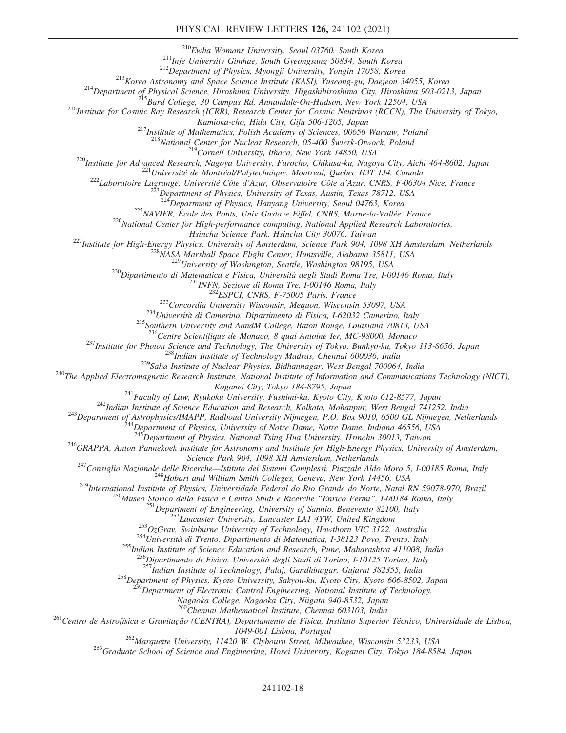## PHYSICAL REVIEW LETTERS 126, 241102 (2021)

<sup>210</sup>Ewha Womans University, Seoul 03760, South Korea<br><sup>211</sup>Inje University Gimhae, South Gyeongsang 50834, South Korea<br><sup>212</sup>Department of Physics, Myongji University, Yongin 17058, Korea<br><sup>213</sup>Korea Astronomy and Space Scie

<sup>217</sup>Institute of Mathematics, Polish Academy of Sciences, 00656 Warsaw, Poland <sup>218</sup>National Center for Nuclear Research, 05-400 Świerk-Otwock, Poland

<sup>219</sup>Cornell University, Ithaca, New York 14850, USA<br><sup>220</sup>Institute for Advanced Research, Nagoya University, Furocho, Chikusa-ku, Nagoya City, Aichi 464-8602, Japan<br><sup>221</sup>Université de Montréal/Polytechnique, Montreal, Qu

<sup>225</sup>NAVIER, Ecole des Ponts, Univ Gustave Eiffel, CNRS, Marne-la-Vallée, France<br><sup>226</sup>National Center for High-performance computing, National Applied Research Laboratories,<br>Hsinchu Science Park, Hsinchu City 30076, Taiwa

Hsinchu Science Park, Hsinchu City 30076, Taiwan <sup>227</sup>Institute for High-Energy Physics, University of Amsterdam, Science Park 904, 1098 XH Amsterdam, Netherlands <sup>228</sup>NASA Marshall Space Flight Center, Huntsville, Alabama 35811, USA <sup>229</sup>University of Washington, Seattle, Washington 98195, USA <sup>230</sup>Dipartimento di Matematica e Fisica, Universit `a degli Studi Roma Tre, I-00146 Roma, Italy <sup>231</sup>INFN, Sezione di Roma Tre, I-00146 Roma, Italy <sup>232</sup>ESPCI, CNRS, F-75005 Paris, France <sup>233</sup>Concordia University Wisconsin, Mequon, Wisconsin 53097, USA <sup>234</sup>Universit `a di Camerino, Dipartimento di Fisica, I-62032 Camerino, Italy <sup>235</sup>Southern University and AandM College, Baton Rouge, Louisiana 70813, USA

<sup>237</sup>Institute for Photon Science and Technology, The University of Tokyo, Bunkyo-ku, Tokyo 113-8656, Japan<br><sup>238</sup>Indian Institute of Technology Madras, Chennai 600036, India<br><sup>239</sup>Saha Institute of Nuclear Physics, Bidhann

<sup>241</sup>Faculty of Law, Ryukoku University, Fushimi-ku, Kyoto City, Kyoto 612-8577, Japan<br><sup>242</sup>Indian Institute of Science Education and Research, Kolkata, Mohanpur, West Bengal 741252, India<br><sup>243</sup>Department of Astrophysics/

<sup>246</sup>GRAPPA, Anton Pannekoek Institute for Astronomy and Institute for High-Energy Physics, University of Amsterdam,<br>Science Park 904, 1098 XH Amsterdam, Netherlands

<sup>247</sup>Consiglio Nazionale delle Ricerche—Istituto dei Sistemi Complessi, Piazzale Aldo Moro 5, I-00185 Roma, Italy<br><sup>248</sup>Hobart and William Smith Colleges, Geneva, New York 14456, USA<br><sup>249</sup>International Institute of Physics

<sup>256</sup>Dipartimento di Fisica, Università degli Studi di Torino, I-10125 Torino, Italy<br><sup>257</sup>Indian Institute of Technology, Palaj, Gandhinagar, Gujarat 382355, India<br><sup>258</sup>Department of Physics, Kyoto University, Sakyou-ku, K

<sup>59</sup>Department of Electronic Control Engineering, National Institute of Technology,

Nagaoka College, Nagaoka City, Niigata 940-8532, Japan<br><sup>260</sup>Chennai Mathematical Institute, Chennai 603103, India

<sup>261</sup>Centro de Astrofísica e Gravitação (CENTRA), Departamento de Física, Instituto Superior Técnico, Universidade de Lisboa, 1049-001 Lisboa, Portugal<br><sup>263</sup>Marquette University, 11420 W. Clybourn Street, Milwaukee, Wisconsin 53233, USA<br><sup>263</sup>Graduate School of Science and Engineering, Hosei University, Koganei City, Tokyo 184-8584, Japan